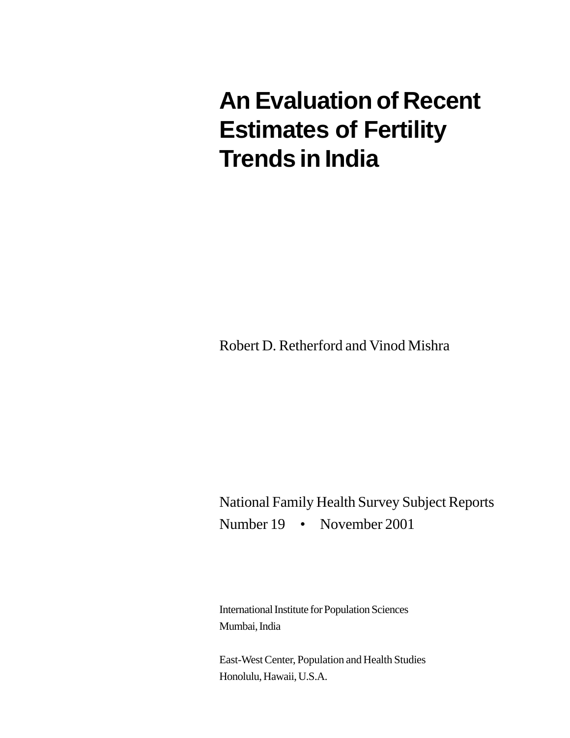# **An Evaluation of Recent Estimates of Fertility Trends in India**

Robert D. Retherford and Vinod Mishra

National Family Health Survey Subject Reports Number 19 • November 2001

International Institute for Population Sciences Mumbai, India

East-West Center, Population and Health Studies Honolulu, Hawaii, U.S.A.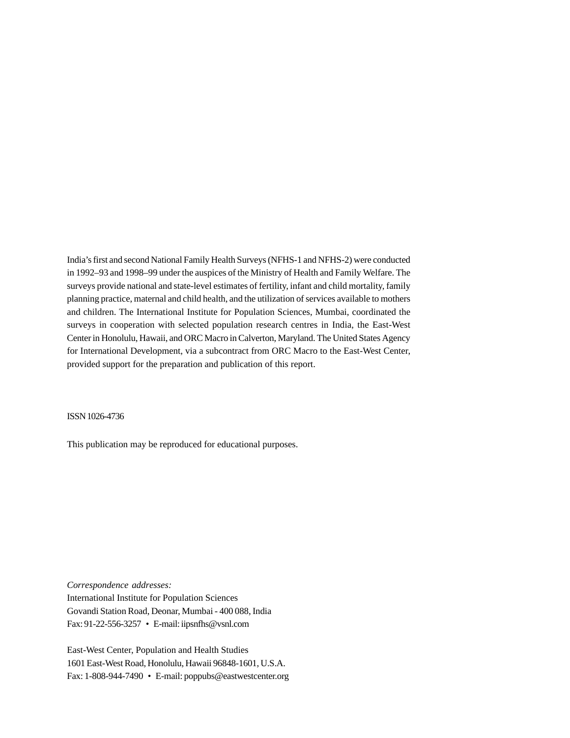India's first and second National Family Health Surveys (NFHS-1 and NFHS-2) were conducted in 1992–93 and 1998–99 under the auspices of the Ministry of Health and Family Welfare. The surveys provide national and state-level estimates of fertility, infant and child mortality, family planning practice, maternal and child health, and the utilization of services available to mothers and children. The International Institute for Population Sciences, Mumbai, coordinated the surveys in cooperation with selected population research centres in India, the East-West Center in Honolulu, Hawaii, and ORC Macro in Calverton, Maryland. The United States Agency for International Development, via a subcontract from ORC Macro to the East-West Center, provided support for the preparation and publication of this report.

ISSN 1026-4736

This publication may be reproduced for educational purposes.

*Correspondence addresses:*

International Institute for Population Sciences Govandi Station Road, Deonar, Mumbai - 400 088, India Fax: 91-22-556-3257 • E-mail: iipsnfhs@vsnl.com

East-West Center, Population and Health Studies 1601 East-West Road, Honolulu, Hawaii 96848-1601, U.S.A. Fax: 1-808-944-7490 • E-mail: poppubs@eastwestcenter.org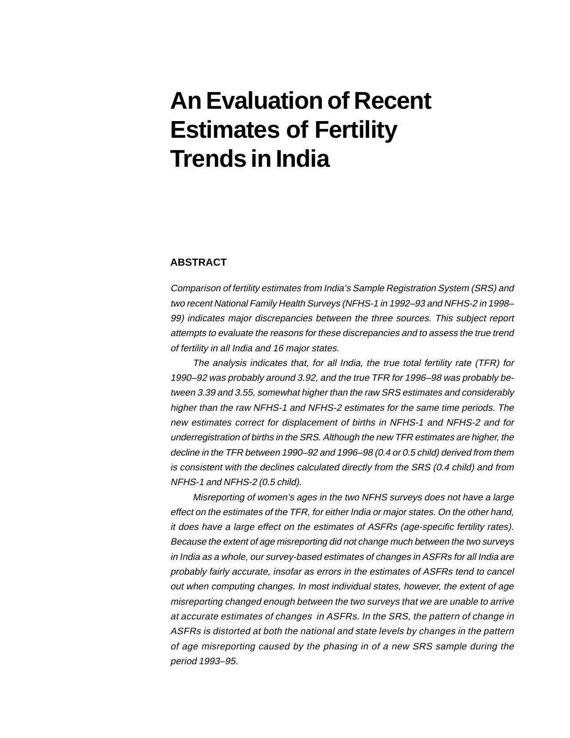# **An Evaluation of Recent Estimates of Fertility Trends in India**

# **ABSTRACT**

Comparison of fertility estimates from India's Sample Registration System (SRS) and two recent National Family Health Surveys (NFHS-1 in 1992–93 and NFHS-2 in 1998– 99) indicates major discrepancies between the three sources. This subject report attempts to evaluate the reasons for these discrepancies and to assess the true trend of fertility in all India and 16 major states.

The analysis indicates that, for all India, the true total fertility rate (TFR) for 1990–92 was probably around 3.92, and the true TFR for 1996–98 was probably between 3.39 and 3.55, somewhat higher than the raw SRS estimates and considerably higher than the raw NFHS-1 and NFHS-2 estimates for the same time periods. The new estimates correct for displacement of births in NFHS-1 and NFHS-2 and for underregistration of births in the SRS. Although the new TFR estimates are higher, the decline in the TFR between 1990–92 and 1996–98 (0.4 or 0.5 child) derived from them is consistent with the declines calculated directly from the SRS (0.4 child) and from NFHS-1 and NFHS-2 (0.5 child).

Misreporting of women's ages in the two NFHS surveys does not have a large effect on the estimates of the TFR, for either India or major states. On the other hand, it does have a large effect on the estimates of ASFRs (age-specific fertility rates). Because the extent of age misreporting did not change much between the two surveys in India as a whole, our survey-based estimates of changes in ASFRs for all India are probably fairly accurate, insofar as errors in the estimates of ASFRs tend to cancel out when computing changes. In most individual states, however, the extent of age misreporting changed enough between the two surveys that we are unable to arrive at accurate estimates of changes in ASFRs. In the SRS, the pattern of change in ASFRs is distorted at both the national and state levels by changes in the pattern of age misreporting caused by the phasing in of a new SRS sample during the period 1993–95.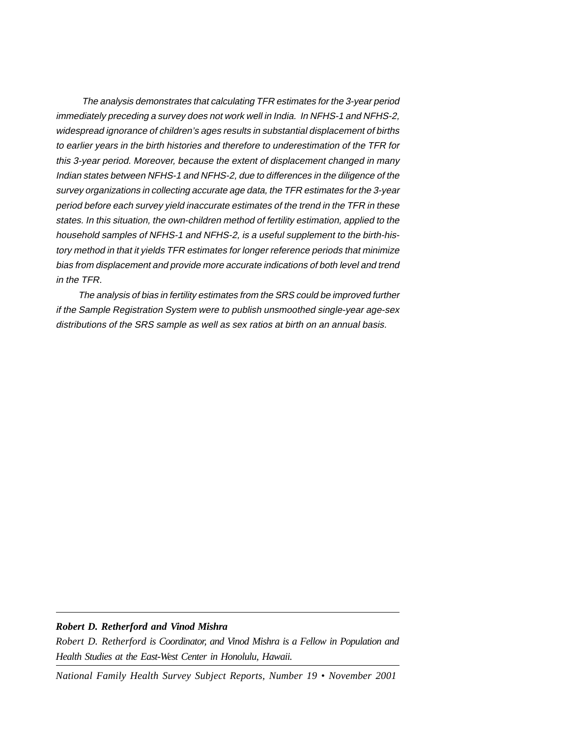The analysis demonstrates that calculating TFR estimates for the 3-year period immediately preceding a survey does not work well in India. In NFHS-1 and NFHS-2, widespread ignorance of children's ages results in substantial displacement of births to earlier years in the birth histories and therefore to underestimation of the TFR for this 3-year period. Moreover, because the extent of displacement changed in many Indian states between NFHS-1 and NFHS-2, due to differences in the diligence of the survey organizations in collecting accurate age data, the TFR estimates for the 3-year period before each survey yield inaccurate estimates of the trend in the TFR in these states. In this situation, the own-children method of fertility estimation, applied to the household samples of NFHS-1 and NFHS-2, is a useful supplement to the birth-history method in that it yields TFR estimates for longer reference periods that minimize bias from displacement and provide more accurate indications of both level and trend in the TFR.

The analysis of bias in fertility estimates from the SRS could be improved further if the Sample Registration System were to publish unsmoothed single-year age-sex distributions of the SRS sample as well as sex ratios at birth on an annual basis.

# *Robert D. Retherford and Vinod Mishra*

*Robert D. Retherford is Coordinator, and Vinod Mishra is a Fellow in Population and Health Studies at the East-West Center in Honolulu, Hawaii.*

*National Family Health Survey Subject Reports, Number 19 • November 2001*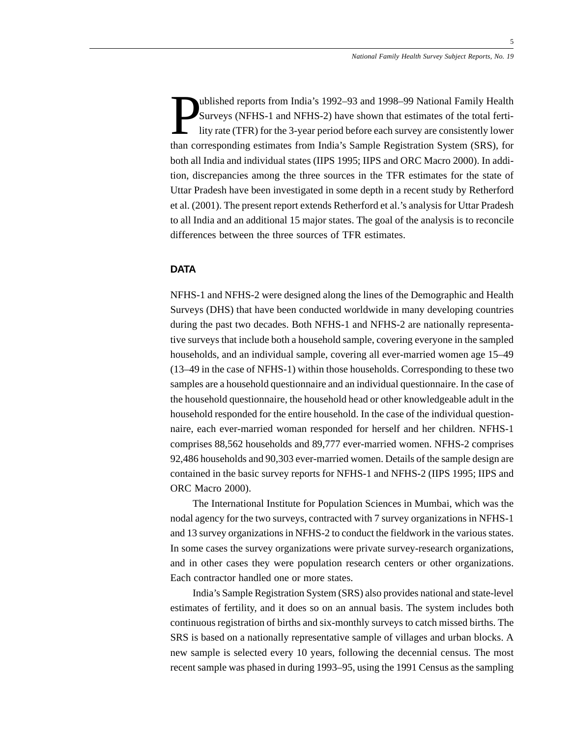P ublished reports from India's 1992–93 and 1998–99 National Family Health Surveys (NFHS-1 and NFHS-2) have shown that estimates of the total fertility rate (TFR) for the 3-year period before each survey are consistently lower than corresponding estimates from India's Sample Registration System (SRS), for both all India and individual states (IIPS 1995; IIPS and ORC Macro 2000). In addition, discrepancies among the three sources in the TFR estimates for the state of Uttar Pradesh have been investigated in some depth in a recent study by Retherford et al. (2001). The present report extends Retherford et al.'s analysis for Uttar Pradesh to all India and an additional 15 major states. The goal of the analysis is to reconcile differences between the three sources of TFR estimates.

# **DATA**

NFHS-1 and NFHS-2 were designed along the lines of the Demographic and Health Surveys (DHS) that have been conducted worldwide in many developing countries during the past two decades. Both NFHS-1 and NFHS-2 are nationally representative surveys that include both a household sample, covering everyone in the sampled households, and an individual sample, covering all ever-married women age 15–49 (13–49 in the case of NFHS-1) within those households. Corresponding to these two samples are a household questionnaire and an individual questionnaire. In the case of the household questionnaire, the household head or other knowledgeable adult in the household responded for the entire household. In the case of the individual questionnaire, each ever-married woman responded for herself and her children. NFHS-1 comprises 88,562 households and 89,777 ever-married women. NFHS-2 comprises 92,486 households and 90,303 ever-married women. Details of the sample design are contained in the basic survey reports for NFHS-1 and NFHS-2 (IIPS 1995; IIPS and ORC Macro 2000).

The International Institute for Population Sciences in Mumbai, which was the nodal agency for the two surveys, contracted with 7 survey organizations in NFHS-1 and 13 survey organizations in NFHS-2 to conduct the fieldwork in the various states. In some cases the survey organizations were private survey-research organizations, and in other cases they were population research centers or other organizations. Each contractor handled one or more states.

India's Sample Registration System (SRS) also provides national and state-level estimates of fertility, and it does so on an annual basis. The system includes both continuous registration of births and six-monthly surveys to catch missed births. The SRS is based on a nationally representative sample of villages and urban blocks. A new sample is selected every 10 years, following the decennial census. The most recent sample was phased in during 1993–95, using the 1991 Census as the sampling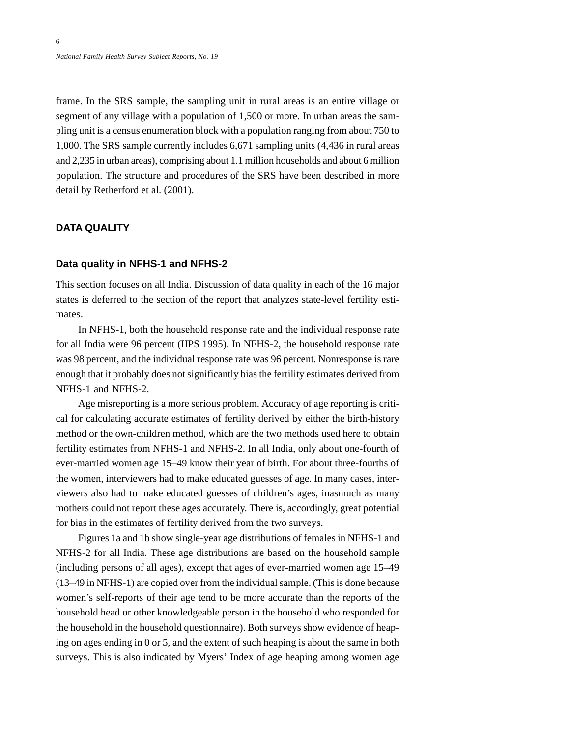frame. In the SRS sample, the sampling unit in rural areas is an entire village or segment of any village with a population of 1,500 or more. In urban areas the sampling unit is a census enumeration block with a population ranging from about 750 to 1,000. The SRS sample currently includes 6,671 sampling units (4,436 in rural areas and 2,235 in urban areas), comprising about 1.1 million households and about 6 million population. The structure and procedures of the SRS have been described in more detail by Retherford et al. (2001).

# **DATA QUALITY**

# **Data quality in NFHS-1 and NFHS-2**

This section focuses on all India. Discussion of data quality in each of the 16 major states is deferred to the section of the report that analyzes state-level fertility estimates.

In NFHS-1, both the household response rate and the individual response rate for all India were 96 percent (IIPS 1995). In NFHS-2, the household response rate was 98 percent, and the individual response rate was 96 percent. Nonresponse is rare enough that it probably does not significantly bias the fertility estimates derived from NFHS-1 and NFHS-2.

Age misreporting is a more serious problem. Accuracy of age reporting is critical for calculating accurate estimates of fertility derived by either the birth-history method or the own-children method, which are the two methods used here to obtain fertility estimates from NFHS-1 and NFHS-2. In all India, only about one-fourth of ever-married women age 15–49 know their year of birth. For about three-fourths of the women, interviewers had to make educated guesses of age. In many cases, interviewers also had to make educated guesses of children's ages, inasmuch as many mothers could not report these ages accurately. There is, accordingly, great potential for bias in the estimates of fertility derived from the two surveys.

Figures 1a and 1b show single-year age distributions of females in NFHS-1 and NFHS-2 for all India. These age distributions are based on the household sample (including persons of all ages), except that ages of ever-married women age 15–49 (13–49 in NFHS-1) are copied over from the individual sample. (This is done because women's self-reports of their age tend to be more accurate than the reports of the household head or other knowledgeable person in the household who responded for the household in the household questionnaire). Both surveys show evidence of heaping on ages ending in 0 or 5, and the extent of such heaping is about the same in both surveys. This is also indicated by Myers' Index of age heaping among women age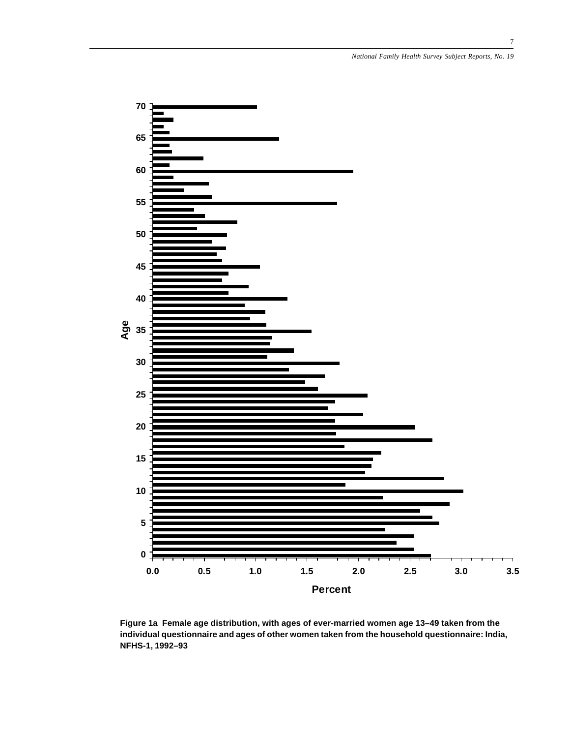

**Figure 1a Female age distribution, with ages of ever-married women age 13–49 taken from the individual questionnaire and ages of other women taken from the household questionnaire: India, NFHS-1, 1992–93**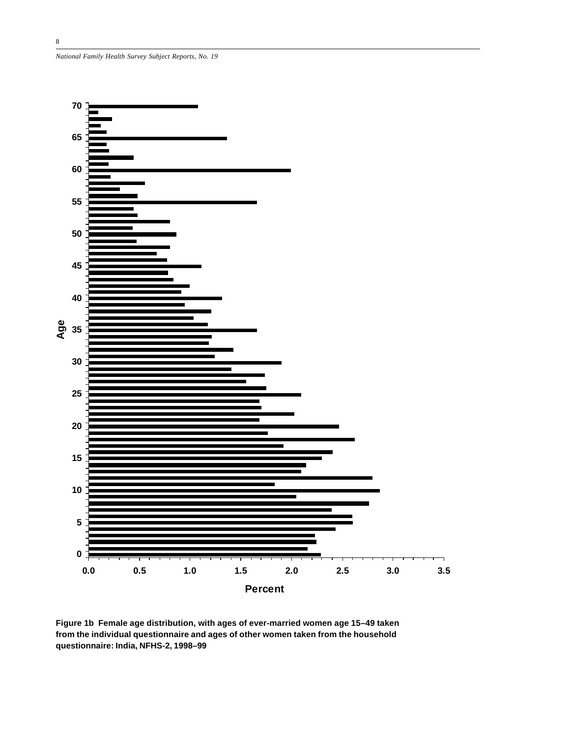*National Family Health Survey Subject Reports, No. 19*



**Figure 1b Female age distribution, with ages of ever-married women age 15–49 taken from the individual questionnaire and ages of other women taken from the household questionnaire: India, NFHS-2, 1998–99**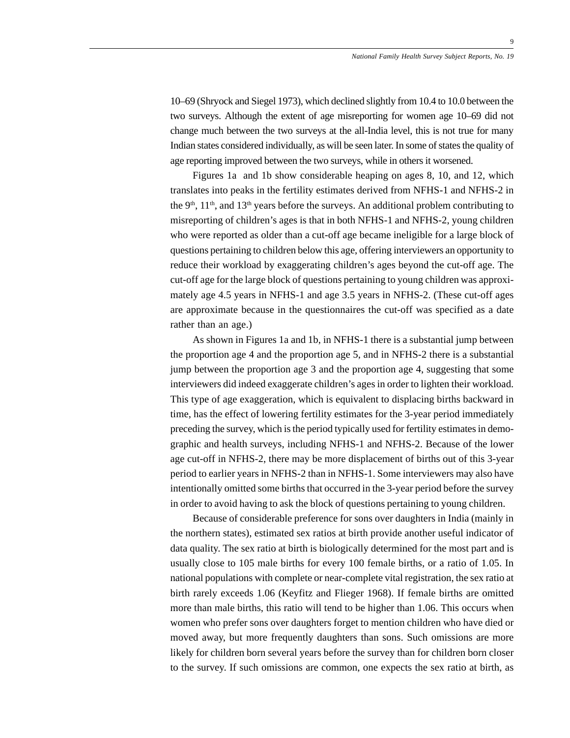10–69 (Shryock and Siegel 1973), which declined slightly from 10.4 to 10.0 between the two surveys. Although the extent of age misreporting for women age 10–69 did not change much between the two surveys at the all-India level, this is not true for many Indian states considered individually, as will be seen later. In some of states the quality of age reporting improved between the two surveys, while in others it worsened.

Figures 1a and 1b show considerable heaping on ages 8, 10, and 12, which translates into peaks in the fertility estimates derived from NFHS-1 and NFHS-2 in the  $9<sup>th</sup>$ ,  $11<sup>th</sup>$ , and  $13<sup>th</sup>$  years before the surveys. An additional problem contributing to misreporting of children's ages is that in both NFHS-1 and NFHS-2, young children who were reported as older than a cut-off age became ineligible for a large block of questions pertaining to children below this age, offering interviewers an opportunity to reduce their workload by exaggerating children's ages beyond the cut-off age. The cut-off age for the large block of questions pertaining to young children was approximately age 4.5 years in NFHS-1 and age 3.5 years in NFHS-2. (These cut-off ages are approximate because in the questionnaires the cut-off was specified as a date rather than an age.)

As shown in Figures 1a and 1b, in NFHS-1 there is a substantial jump between the proportion age 4 and the proportion age 5, and in NFHS-2 there is a substantial jump between the proportion age 3 and the proportion age 4, suggesting that some interviewers did indeed exaggerate children's ages in order to lighten their workload. This type of age exaggeration, which is equivalent to displacing births backward in time, has the effect of lowering fertility estimates for the 3-year period immediately preceding the survey, which is the period typically used for fertility estimates in demographic and health surveys, including NFHS-1 and NFHS-2. Because of the lower age cut-off in NFHS-2, there may be more displacement of births out of this 3-year period to earlier years in NFHS-2 than in NFHS-1. Some interviewers may also have intentionally omitted some births that occurred in the 3-year period before the survey in order to avoid having to ask the block of questions pertaining to young children.

Because of considerable preference for sons over daughters in India (mainly in the northern states), estimated sex ratios at birth provide another useful indicator of data quality. The sex ratio at birth is biologically determined for the most part and is usually close to 105 male births for every 100 female births, or a ratio of 1.05. In national populations with complete or near-complete vital registration, the sex ratio at birth rarely exceeds 1.06 (Keyfitz and Flieger 1968). If female births are omitted more than male births, this ratio will tend to be higher than 1.06. This occurs when women who prefer sons over daughters forget to mention children who have died or moved away, but more frequently daughters than sons. Such omissions are more likely for children born several years before the survey than for children born closer to the survey. If such omissions are common, one expects the sex ratio at birth, as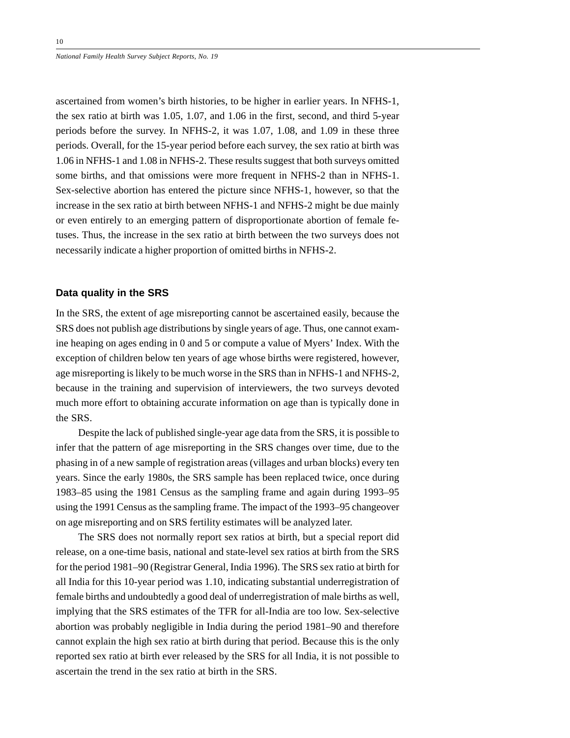ascertained from women's birth histories, to be higher in earlier years. In NFHS-1, the sex ratio at birth was 1.05, 1.07, and 1.06 in the first, second, and third 5-year periods before the survey. In NFHS-2, it was 1.07, 1.08, and 1.09 in these three periods. Overall, for the 15-year period before each survey, the sex ratio at birth was 1.06 in NFHS-1 and 1.08 in NFHS-2. These results suggest that both surveys omitted some births, and that omissions were more frequent in NFHS-2 than in NFHS-1. Sex-selective abortion has entered the picture since NFHS-1, however, so that the increase in the sex ratio at birth between NFHS-1 and NFHS-2 might be due mainly or even entirely to an emerging pattern of disproportionate abortion of female fetuses. Thus, the increase in the sex ratio at birth between the two surveys does not necessarily indicate a higher proportion of omitted births in NFHS-2.

## **Data quality in the SRS**

In the SRS, the extent of age misreporting cannot be ascertained easily, because the SRS does not publish age distributions by single years of age. Thus, one cannot examine heaping on ages ending in 0 and 5 or compute a value of Myers' Index. With the exception of children below ten years of age whose births were registered, however, age misreporting is likely to be much worse in the SRS than in NFHS-1 and NFHS-2, because in the training and supervision of interviewers, the two surveys devoted much more effort to obtaining accurate information on age than is typically done in the SRS.

Despite the lack of published single-year age data from the SRS, it is possible to infer that the pattern of age misreporting in the SRS changes over time, due to the phasing in of a new sample of registration areas (villages and urban blocks) every ten years. Since the early 1980s, the SRS sample has been replaced twice, once during 1983–85 using the 1981 Census as the sampling frame and again during 1993–95 using the 1991 Census as the sampling frame. The impact of the 1993–95 changeover on age misreporting and on SRS fertility estimates will be analyzed later.

The SRS does not normally report sex ratios at birth, but a special report did release, on a one-time basis, national and state-level sex ratios at birth from the SRS for the period 1981–90 (Registrar General, India 1996). The SRS sex ratio at birth for all India for this 10-year period was 1.10, indicating substantial underregistration of female births and undoubtedly a good deal of underregistration of male births as well, implying that the SRS estimates of the TFR for all-India are too low. Sex-selective abortion was probably negligible in India during the period 1981–90 and therefore cannot explain the high sex ratio at birth during that period. Because this is the only reported sex ratio at birth ever released by the SRS for all India, it is not possible to ascertain the trend in the sex ratio at birth in the SRS.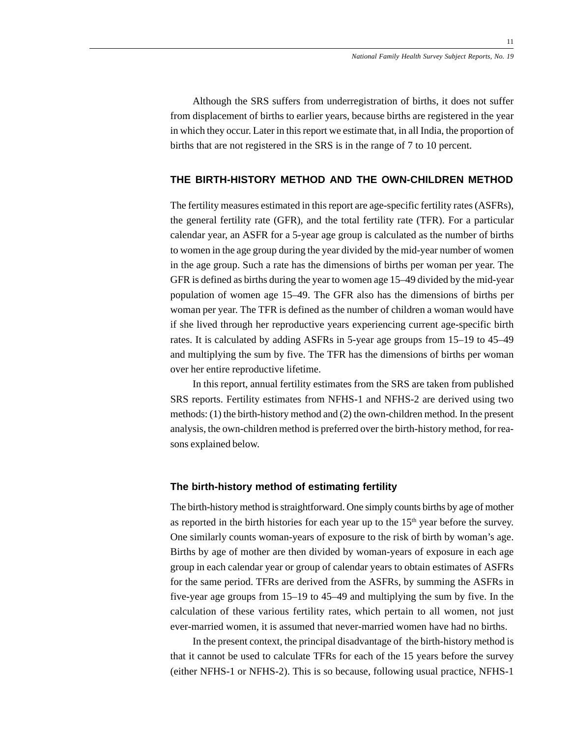Although the SRS suffers from underregistration of births, it does not suffer from displacement of births to earlier years, because births are registered in the year in which they occur. Later in this report we estimate that, in all India, the proportion of births that are not registered in the SRS is in the range of 7 to 10 percent.

# **THE BIRTH-HISTORY METHOD AND THE OWN-CHILDREN METHOD**

The fertility measures estimated in this report are age-specific fertility rates (ASFRs), the general fertility rate (GFR), and the total fertility rate (TFR). For a particular calendar year, an ASFR for a 5-year age group is calculated as the number of births to women in the age group during the year divided by the mid-year number of women in the age group. Such a rate has the dimensions of births per woman per year. The GFR is defined as births during the year to women age 15–49 divided by the mid-year population of women age 15–49. The GFR also has the dimensions of births per woman per year. The TFR is defined as the number of children a woman would have if she lived through her reproductive years experiencing current age-specific birth rates. It is calculated by adding ASFRs in 5-year age groups from 15–19 to 45–49 and multiplying the sum by five. The TFR has the dimensions of births per woman over her entire reproductive lifetime.

In this report, annual fertility estimates from the SRS are taken from published SRS reports. Fertility estimates from NFHS-1 and NFHS-2 are derived using two methods: (1) the birth-history method and (2) the own-children method. In the present analysis, the own-children method is preferred over the birth-history method, for reasons explained below.

## **The birth-history method of estimating fertility**

The birth-history method is straightforward. One simply counts births by age of mother as reported in the birth histories for each year up to the  $15<sup>th</sup>$  year before the survey. One similarly counts woman-years of exposure to the risk of birth by woman's age. Births by age of mother are then divided by woman-years of exposure in each age group in each calendar year or group of calendar years to obtain estimates of ASFRs for the same period. TFRs are derived from the ASFRs, by summing the ASFRs in five-year age groups from 15–19 to 45–49 and multiplying the sum by five. In the calculation of these various fertility rates, which pertain to all women, not just ever-married women, it is assumed that never-married women have had no births.

In the present context, the principal disadvantage of the birth-history method is that it cannot be used to calculate TFRs for each of the 15 years before the survey (either NFHS-1 or NFHS-2). This is so because, following usual practice, NFHS-1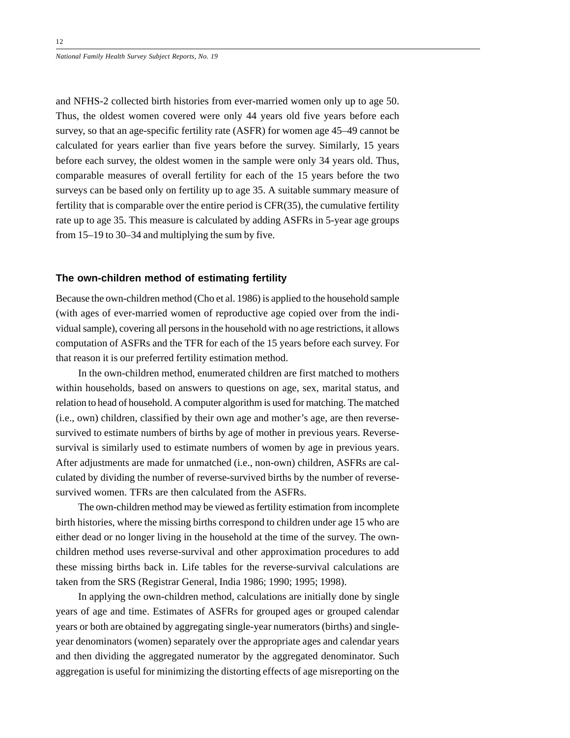and NFHS-2 collected birth histories from ever-married women only up to age 50. Thus, the oldest women covered were only 44 years old five years before each survey, so that an age-specific fertility rate (ASFR) for women age 45–49 cannot be calculated for years earlier than five years before the survey. Similarly, 15 years before each survey, the oldest women in the sample were only 34 years old. Thus, comparable measures of overall fertility for each of the 15 years before the two surveys can be based only on fertility up to age 35. A suitable summary measure of fertility that is comparable over the entire period is CFR(35), the cumulative fertility rate up to age 35. This measure is calculated by adding ASFRs in 5-year age groups from 15–19 to 30–34 and multiplying the sum by five.

## **The own-children method of estimating fertility**

Because the own-children method (Cho et al. 1986) is applied to the household sample (with ages of ever-married women of reproductive age copied over from the individual sample), covering all persons in the household with no age restrictions, it allows computation of ASFRs and the TFR for each of the 15 years before each survey. For that reason it is our preferred fertility estimation method.

In the own-children method, enumerated children are first matched to mothers within households, based on answers to questions on age, sex, marital status, and relation to head of household. A computer algorithm is used for matching. The matched (i.e., own) children, classified by their own age and mother's age, are then reversesurvived to estimate numbers of births by age of mother in previous years. Reversesurvival is similarly used to estimate numbers of women by age in previous years. After adjustments are made for unmatched (i.e., non-own) children, ASFRs are calculated by dividing the number of reverse-survived births by the number of reversesurvived women. TFRs are then calculated from the ASFRs.

The own-children method may be viewed as fertility estimation from incomplete birth histories, where the missing births correspond to children under age 15 who are either dead or no longer living in the household at the time of the survey. The ownchildren method uses reverse-survival and other approximation procedures to add these missing births back in. Life tables for the reverse-survival calculations are taken from the SRS (Registrar General, India 1986; 1990; 1995; 1998).

In applying the own-children method, calculations are initially done by single years of age and time. Estimates of ASFRs for grouped ages or grouped calendar years or both are obtained by aggregating single-year numerators (births) and singleyear denominators (women) separately over the appropriate ages and calendar years and then dividing the aggregated numerator by the aggregated denominator. Such aggregation is useful for minimizing the distorting effects of age misreporting on the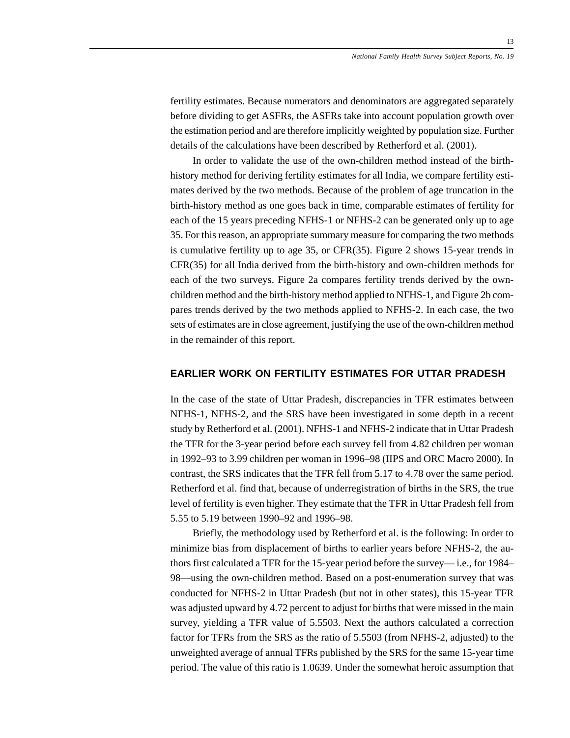fertility estimates. Because numerators and denominators are aggregated separately before dividing to get ASFRs, the ASFRs take into account population growth over the estimation period and are therefore implicitly weighted by population size. Further details of the calculations have been described by Retherford et al. (2001).

In order to validate the use of the own-children method instead of the birthhistory method for deriving fertility estimates for all India, we compare fertility estimates derived by the two methods. Because of the problem of age truncation in the birth-history method as one goes back in time, comparable estimates of fertility for each of the 15 years preceding NFHS-1 or NFHS-2 can be generated only up to age 35. For this reason, an appropriate summary measure for comparing the two methods is cumulative fertility up to age 35, or CFR(35). Figure 2 shows 15-year trends in CFR(35) for all India derived from the birth-history and own-children methods for each of the two surveys. Figure 2a compares fertility trends derived by the ownchildren method and the birth-history method applied to NFHS-1, and Figure 2b compares trends derived by the two methods applied to NFHS-2. In each case, the two sets of estimates are in close agreement, justifying the use of the own-children method in the remainder of this report.

# **EARLIER WORK ON FERTILITY ESTIMATES FOR UTTAR PRADESH**

In the case of the state of Uttar Pradesh, discrepancies in TFR estimates between NFHS-1, NFHS-2, and the SRS have been investigated in some depth in a recent study by Retherford et al. (2001). NFHS-1 and NFHS-2 indicate that in Uttar Pradesh the TFR for the 3-year period before each survey fell from 4.82 children per woman in 1992–93 to 3.99 children per woman in 1996–98 (IIPS and ORC Macro 2000). In contrast, the SRS indicates that the TFR fell from 5.17 to 4.78 over the same period. Retherford et al. find that, because of underregistration of births in the SRS, the true level of fertility is even higher. They estimate that the TFR in Uttar Pradesh fell from 5.55 to 5.19 between 1990–92 and 1996–98.

Briefly, the methodology used by Retherford et al. is the following: In order to minimize bias from displacement of births to earlier years before NFHS-2, the authors first calculated a TFR for the 15-year period before the survey— i.e., for 1984– 98—using the own-children method. Based on a post-enumeration survey that was conducted for NFHS-2 in Uttar Pradesh (but not in other states), this 15-year TFR was adjusted upward by 4.72 percent to adjust for births that were missed in the main survey, yielding a TFR value of 5.5503. Next the authors calculated a correction factor for TFRs from the SRS as the ratio of 5.5503 (from NFHS-2, adjusted) to the unweighted average of annual TFRs published by the SRS for the same 15-year time period. The value of this ratio is 1.0639. Under the somewhat heroic assumption that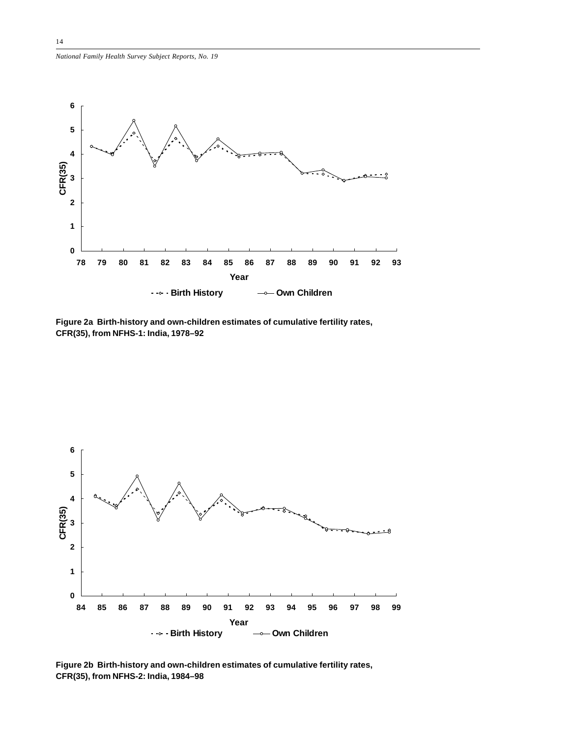![](_page_13_Figure_1.jpeg)

**Figure 2a Birth-history and own-children estimates of cumulative fertility rates, CFR(35), from NFHS-1: India, 1978–92**

![](_page_13_Figure_3.jpeg)

**Figure 2b Birth-history and own-children estimates of cumulative fertility rates, CFR(35), from NFHS-2: India, 1984–98**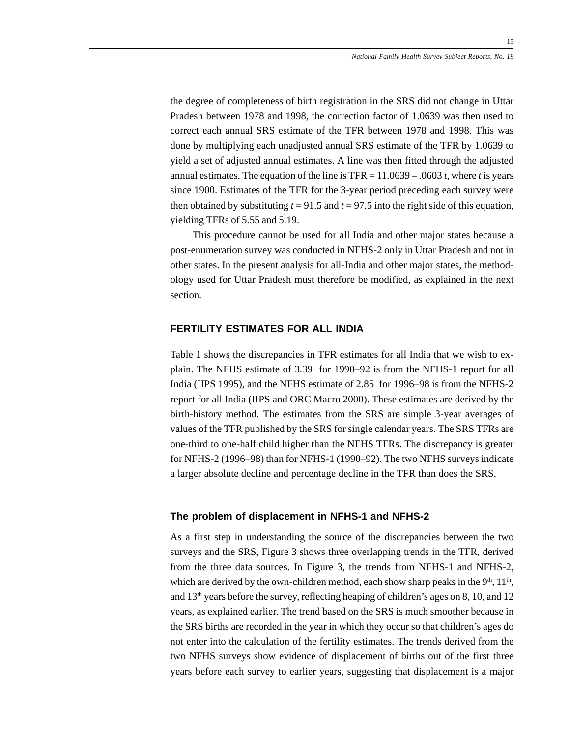the degree of completeness of birth registration in the SRS did not change in Uttar Pradesh between 1978 and 1998, the correction factor of 1.0639 was then used to correct each annual SRS estimate of the TFR between 1978 and 1998. This was done by multiplying each unadjusted annual SRS estimate of the TFR by 1.0639 to yield a set of adjusted annual estimates. A line was then fitted through the adjusted annual estimates. The equation of the line is TFR = 11.0639 – .0603 *t*, where *t* is years since 1900. Estimates of the TFR for the 3-year period preceding each survey were then obtained by substituting  $t = 91.5$  and  $t = 97.5$  into the right side of this equation, yielding TFRs of 5.55 and 5.19.

This procedure cannot be used for all India and other major states because a post-enumeration survey was conducted in NFHS-2 only in Uttar Pradesh and not in other states. In the present analysis for all-India and other major states, the methodology used for Uttar Pradesh must therefore be modified, as explained in the next section.

# **FERTILITY ESTIMATES FOR ALL INDIA**

Table 1 shows the discrepancies in TFR estimates for all India that we wish to explain. The NFHS estimate of 3.39 for 1990–92 is from the NFHS-1 report for all India (IIPS 1995), and the NFHS estimate of 2.85 for 1996–98 is from the NFHS-2 report for all India (IIPS and ORC Macro 2000). These estimates are derived by the birth-history method. The estimates from the SRS are simple 3-year averages of values of the TFR published by the SRS for single calendar years. The SRS TFRs are one-third to one-half child higher than the NFHS TFRs. The discrepancy is greater for NFHS-2 (1996–98) than for NFHS-1 (1990–92). The two NFHS surveys indicate a larger absolute decline and percentage decline in the TFR than does the SRS.

### **The problem of displacement in NFHS-1 and NFHS-2**

As a first step in understanding the source of the discrepancies between the two surveys and the SRS, Figure 3 shows three overlapping trends in the TFR, derived from the three data sources. In Figure 3, the trends from NFHS-1 and NFHS-2, which are derived by the own-children method, each show sharp peaks in the  $9<sup>th</sup>$ ,  $11<sup>th</sup>$ , and 13<sup>th</sup> years before the survey, reflecting heaping of children's ages on 8, 10, and 12 years, as explained earlier. The trend based on the SRS is much smoother because in the SRS births are recorded in the year in which they occur so that children's ages do not enter into the calculation of the fertility estimates. The trends derived from the two NFHS surveys show evidence of displacement of births out of the first three years before each survey to earlier years, suggesting that displacement is a major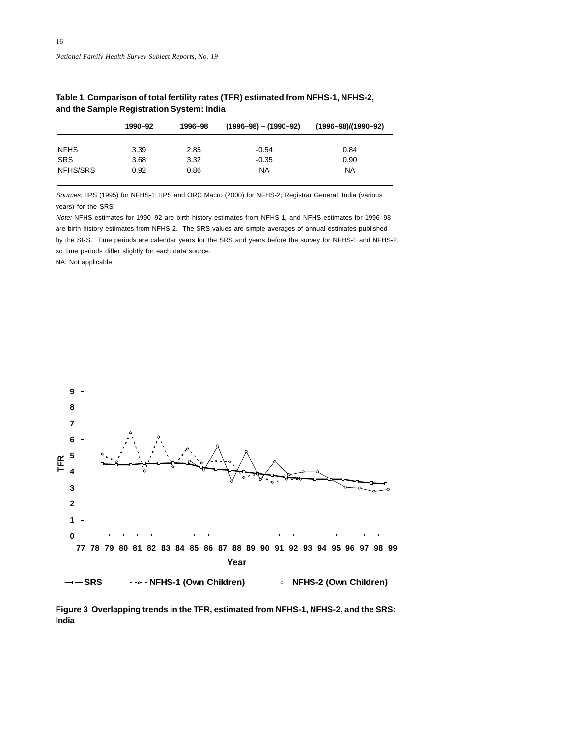*National Family Health Survey Subject Reports, No. 19*

|             | 1990-92 | 1996-98 | $(1996 - 98) - (1990 - 92)$ | $(1996 - 98)/(1990 - 92)$ |
|-------------|---------|---------|-----------------------------|---------------------------|
| <b>NFHS</b> | 3.39    | 2.85    | $-0.54$                     | 0.84                      |
| <b>SRS</b>  | 3.68    | 3.32    | $-0.35$                     | 0.90                      |
| NFHS/SRS    | 0.92    | 0.86    | ΝA                          | NA                        |

**Table 1 Comparison of total fertility rates (TFR) estimated from NFHS-1, NFHS-2, and the Sample Registration System: India**

Sources: IIPS (1995) for NFHS-1; IIPS and ORC Macro (2000) for NFHS-2; Registrar General, India (various years) for the SRS.

Note: NFHS estimates for 1990–92 are birth-history estimates from NFHS-1, and NFHS estimates for 1996–98 are birth-history estimates from NFHS-2. The SRS values are simple averages of annual estimates published by the SRS. Time periods are calendar years for the SRS and years before the survey for NFHS-1 and NFHS-2, so time periods differ slightly for each data source.

NA: Not applicable.

![](_page_15_Figure_7.jpeg)

**Figure 3 Overlapping trends in the TFR, estimated from NFHS-1, NFHS-2, and the SRS: India**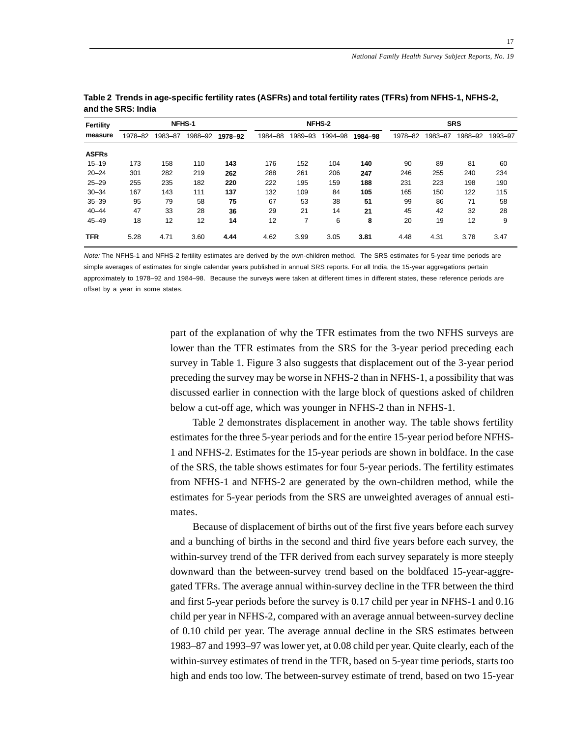| Fertility    |         | NFHS-1  |         |         |         | NFHS-2        |         |         |         | <b>SRS</b> |         |         |  |
|--------------|---------|---------|---------|---------|---------|---------------|---------|---------|---------|------------|---------|---------|--|
| measure      | 1978-82 | 1983-87 | 1988-92 | 1978-92 | 1984-88 | 1989-93       | 1994-98 | 1984-98 | 1978-82 | 1983-87    | 1988-92 | 1993-97 |  |
| <b>ASFRs</b> |         |         |         |         |         |               |         |         |         |            |         |         |  |
| $15 - 19$    | 173     | 158     | 110     | 143     | 176     | 152           | 104     | 140     | 90      | 89         | 81      | 60      |  |
| $20 - 24$    | 301     | 282     | 219     | 262     | 288     | 261           | 206     | 247     | 246     | 255        | 240     | 234     |  |
| $25 - 29$    | 255     | 235     | 182     | 220     | 222     | 195           | 159     | 188     | 231     | 223        | 198     | 190     |  |
| $30 - 34$    | 167     | 143     | 111     | 137     | 132     | 109           | 84      | 105     | 165     | 150        | 122     | 115     |  |
| $35 - 39$    | 95      | 79      | 58      | 75      | 67      | 53            | 38      | 51      | 99      | 86         | 71      | 58      |  |
| $40 - 44$    | 47      | 33      | 28      | 36      | 29      | 21            | 14      | 21      | 45      | 42         | 32      | 28      |  |
| $45 - 49$    | 18      | 12      | 12      | 14      | 12      | 7<br>$\prime$ | 6       | 8       | 20      | 19         | 12      | 9       |  |
| <b>TFR</b>   | 5.28    | 4.71    | 3.60    | 4.44    | 4.62    | 3.99          | 3.05    | 3.81    | 4.48    | 4.31       | 3.78    | 3.47    |  |

| Table 2 Trends in age-specific fertility rates (ASFRs) and total fertility rates (TFRs) from NFHS-1, NFHS-2, |  |
|--------------------------------------------------------------------------------------------------------------|--|
| and the SRS: India                                                                                           |  |

Note: The NFHS-1 and NFHS-2 fertility estimates are derived by the own-children method. The SRS estimates for 5-year time periods are simple averages of estimates for single calendar years published in annual SRS reports. For all India, the 15-year aggregations pertain approximately to 1978–92 and 1984–98. Because the surveys were taken at different times in different states, these reference periods are offset by a year in some states.

> part of the explanation of why the TFR estimates from the two NFHS surveys are lower than the TFR estimates from the SRS for the 3-year period preceding each survey in Table 1. Figure 3 also suggests that displacement out of the 3-year period preceding the survey may be worse in NFHS-2 than in NFHS-1, a possibility that was discussed earlier in connection with the large block of questions asked of children below a cut-off age, which was younger in NFHS-2 than in NFHS-1.

> Table 2 demonstrates displacement in another way. The table shows fertility estimates for the three 5-year periods and for the entire 15-year period before NFHS-1 and NFHS-2. Estimates for the 15-year periods are shown in boldface. In the case of the SRS, the table shows estimates for four 5-year periods. The fertility estimates from NFHS-1 and NFHS-2 are generated by the own-children method, while the estimates for 5-year periods from the SRS are unweighted averages of annual estimates.

> Because of displacement of births out of the first five years before each survey and a bunching of births in the second and third five years before each survey, the within-survey trend of the TFR derived from each survey separately is more steeply downward than the between-survey trend based on the boldfaced 15-year-aggregated TFRs. The average annual within-survey decline in the TFR between the third and first 5-year periods before the survey is 0.17 child per year in NFHS-1 and 0.16 child per year in NFHS-2, compared with an average annual between-survey decline of 0.10 child per year. The average annual decline in the SRS estimates between 1983–87 and 1993–97 was lower yet, at 0.08 child per year. Quite clearly, each of the within-survey estimates of trend in the TFR, based on 5-year time periods, starts too high and ends too low. The between-survey estimate of trend, based on two 15-year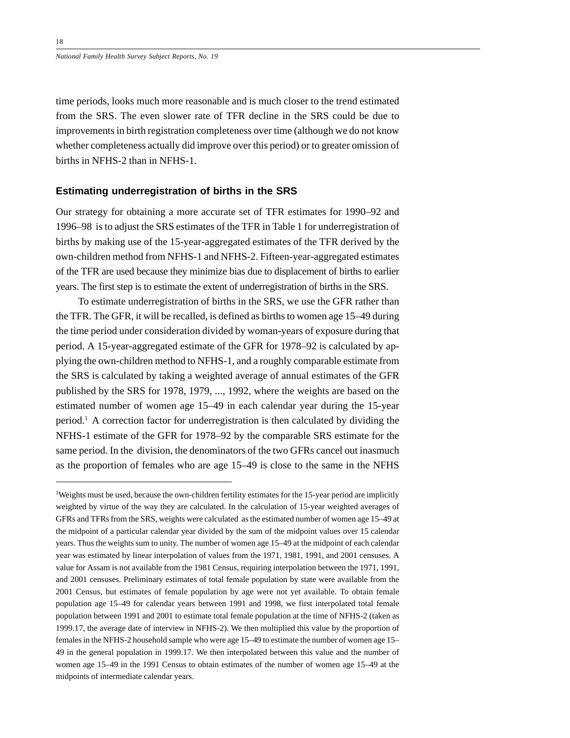time periods, looks much more reasonable and is much closer to the trend estimated from the SRS. The even slower rate of TFR decline in the SRS could be due to improvements in birth registration completeness over time (although we do not know whether completeness actually did improve over this period) or to greater omission of births in NFHS-2 than in NFHS-1.

## **Estimating underregistration of births in the SRS**

Our strategy for obtaining a more accurate set of TFR estimates for 1990–92 and 1996–98 is to adjust the SRS estimates of the TFR in Table 1 for underregistration of births by making use of the 15-year-aggregated estimates of the TFR derived by the own-children method from NFHS-1 and NFHS-2. Fifteen-year-aggregated estimates of the TFR are used because they minimize bias due to displacement of births to earlier years. The first step is to estimate the extent of underregistration of births in the SRS.

To estimate underregistration of births in the SRS, we use the GFR rather than the TFR. The GFR, it will be recalled, is defined as births to women age 15–49 during the time period under consideration divided by woman-years of exposure during that period. A 15-year-aggregated estimate of the GFR for 1978–92 is calculated by applying the own-children method to NFHS-1, and a roughly comparable estimate from the SRS is calculated by taking a weighted average of annual estimates of the GFR published by the SRS for 1978, 1979, ..., 1992, where the weights are based on the estimated number of women age 15–49 in each calendar year during the 15-year period.1 A correction factor for underregistration is then calculated by dividing the NFHS-1 estimate of the GFR for 1978–92 by the comparable SRS estimate for the same period. In the division, the denominators of the two GFRs cancel out inasmuch as the proportion of females who are age 15–49 is close to the same in the NFHS

<sup>&</sup>lt;sup>1</sup>Weights must be used, because the own-children fertility estimates for the 15-year period are implicitly weighted by virtue of the way they are calculated. In the calculation of 15-year weighted averages of GFRs and TFRs from the SRS, weights were calculated as the estimated number of women age 15–49 at the midpoint of a particular calendar year divided by the sum of the midpoint values over 15 calendar years. Thus the weights sum to unity. The number of women age 15–49 at the midpoint of each calendar year was estimated by linear interpolation of values from the 1971, 1981, 1991, and 2001 censuses. A value for Assam is not available from the 1981 Census, requiring interpolation between the 1971, 1991, and 2001 censuses. Preliminary estimates of total female population by state were available from the 2001 Census, but estimates of female population by age were not yet available. To obtain female population age 15–49 for calendar years between 1991 and 1998, we first interpolated total female population between 1991 and 2001 to estimate total female population at the time of NFHS-2 (taken as 1999.17, the average date of interview in NFHS-2). We then multiplied this value by the proportion of females in the NFHS-2 household sample who were age 15–49 to estimate the number of women age 15– 49 in the general population in 1999.17. We then interpolated between this value and the number of women age 15–49 in the 1991 Census to obtain estimates of the number of women age 15–49 at the midpoints of intermediate calendar years.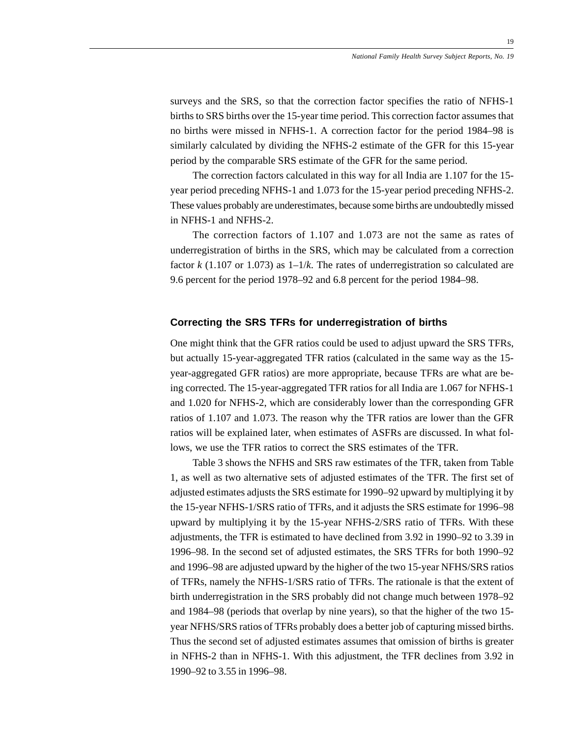surveys and the SRS, so that the correction factor specifies the ratio of NFHS-1 births to SRS births over the 15-year time period. This correction factor assumes that no births were missed in NFHS-1. A correction factor for the period 1984–98 is similarly calculated by dividing the NFHS-2 estimate of the GFR for this 15-year period by the comparable SRS estimate of the GFR for the same period.

The correction factors calculated in this way for all India are 1.107 for the 15 year period preceding NFHS-1 and 1.073 for the 15-year period preceding NFHS-2. These values probably are underestimates, because some births are undoubtedly missed in NFHS-1 and NFHS-2.

The correction factors of 1.107 and 1.073 are not the same as rates of underregistration of births in the SRS, which may be calculated from a correction factor *k* (1.107 or 1.073) as 1–1/*k*. The rates of underregistration so calculated are 9.6 percent for the period 1978–92 and 6.8 percent for the period 1984–98.

# **Correcting the SRS TFRs for underregistration of births**

One might think that the GFR ratios could be used to adjust upward the SRS TFRs, but actually 15-year-aggregated TFR ratios (calculated in the same way as the 15 year-aggregated GFR ratios) are more appropriate, because TFRs are what are being corrected. The 15-year-aggregated TFR ratios for all India are 1.067 for NFHS-1 and 1.020 for NFHS-2, which are considerably lower than the corresponding GFR ratios of 1.107 and 1.073. The reason why the TFR ratios are lower than the GFR ratios will be explained later, when estimates of ASFRs are discussed. In what follows, we use the TFR ratios to correct the SRS estimates of the TFR.

Table 3 shows the NFHS and SRS raw estimates of the TFR, taken from Table 1, as well as two alternative sets of adjusted estimates of the TFR. The first set of adjusted estimates adjusts the SRS estimate for 1990–92 upward by multiplying it by the 15-year NFHS-1/SRS ratio of TFRs, and it adjusts the SRS estimate for 1996–98 upward by multiplying it by the 15-year NFHS-2/SRS ratio of TFRs. With these adjustments, the TFR is estimated to have declined from 3.92 in 1990–92 to 3.39 in 1996–98. In the second set of adjusted estimates, the SRS TFRs for both 1990–92 and 1996–98 are adjusted upward by the higher of the two 15-year NFHS/SRS ratios of TFRs, namely the NFHS-1/SRS ratio of TFRs. The rationale is that the extent of birth underregistration in the SRS probably did not change much between 1978–92 and 1984–98 (periods that overlap by nine years), so that the higher of the two 15 year NFHS/SRS ratios of TFRs probably does a better job of capturing missed births. Thus the second set of adjusted estimates assumes that omission of births is greater in NFHS-2 than in NFHS-1. With this adjustment, the TFR declines from 3.92 in 1990–92 to 3.55 in 1996–98.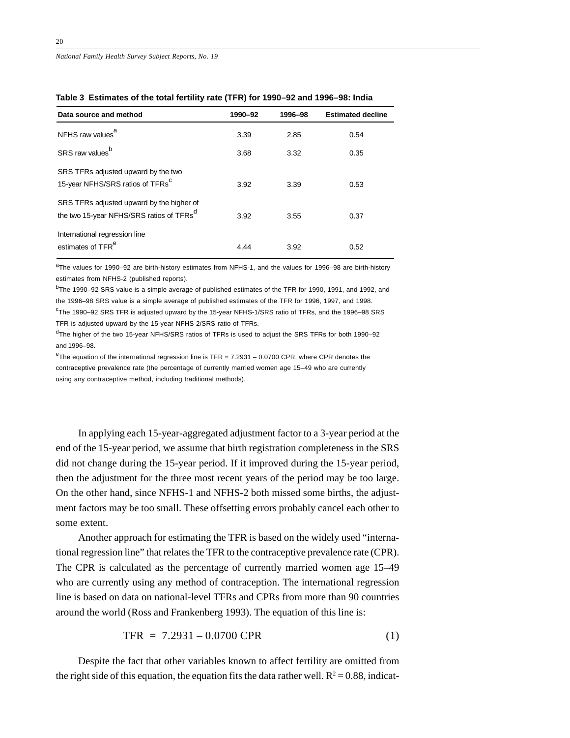| Data source and method                                                                            | 1990-92 | 1996-98 | <b>Estimated decline</b> |
|---------------------------------------------------------------------------------------------------|---------|---------|--------------------------|
| NFHS raw values <sup>a</sup>                                                                      | 3.39    | 2.85    | 0.54                     |
| SRS raw values <sup>b</sup>                                                                       | 3.68    | 3.32    | 0.35                     |
| SRS TFRs adjusted upward by the two<br>15-year NFHS/SRS ratios of TFRs <sup>C</sup>               | 3.92    | 3.39    | 0.53                     |
| SRS TFRs adjusted upward by the higher of<br>the two 15-year NFHS/SRS ratios of TFRs <sup>d</sup> | 3.92    | 3.55    | 0.37                     |
| International regression line<br>estimates of TFR <sup>e</sup>                                    | 4.44    | 3.92    | 0.52                     |

| Table 3  Estimates of the total fertility rate (TFR) for 1990–92 and 1996–98: India |  |  |  |
|-------------------------------------------------------------------------------------|--|--|--|
|-------------------------------------------------------------------------------------|--|--|--|

<sup>a</sup>The values for 1990–92 are birth-history estimates from NFHS-1, and the values for 1996–98 are birth-history estimates from NFHS-2 (published reports).

<sup>b</sup>The 1990–92 SRS value is a simple average of published estimates of the TFR for 1990, 1991, and 1992, and the 1996–98 SRS value is a simple average of published estimates of the TFR for 1996, 1997, and 1998.

<sup>c</sup>The 1990–92 SRS TFR is adjusted upward by the 15-year NFHS-1/SRS ratio of TFRs, and the 1996–98 SRS TFR is adjusted upward by the 15-year NFHS-2/SRS ratio of TFRs.

dThe higher of the two 15-year NFHS/SRS ratios of TFRs is used to adjust the SRS TFRs for both 1990–92 and 1996–98.

 $e^{e}$ The equation of the international regression line is TFR = 7.2931 – 0.0700 CPR, where CPR denotes the contraceptive prevalence rate (the percentage of currently married women age 15–49 who are currently using any contraceptive method, including traditional methods).

In applying each 15-year-aggregated adjustment factor to a 3-year period at the end of the 15-year period, we assume that birth registration completeness in the SRS did not change during the 15-year period. If it improved during the 15-year period, then the adjustment for the three most recent years of the period may be too large. On the other hand, since NFHS-1 and NFHS-2 both missed some births, the adjustment factors may be too small. These offsetting errors probably cancel each other to some extent.

Another approach for estimating the TFR is based on the widely used "international regression line" that relates the TFR to the contraceptive prevalence rate (CPR). The CPR is calculated as the percentage of currently married women age 15–49 who are currently using any method of contraception. The international regression line is based on data on national-level TFRs and CPRs from more than 90 countries around the world (Ross and Frankenberg 1993). The equation of this line is:

$$
TFR = 7.2931 - 0.0700 \text{ CPR} \tag{1}
$$

Despite the fact that other variables known to affect fertility are omitted from the right side of this equation, the equation fits the data rather well.  $R^2 = 0.88$ , indicat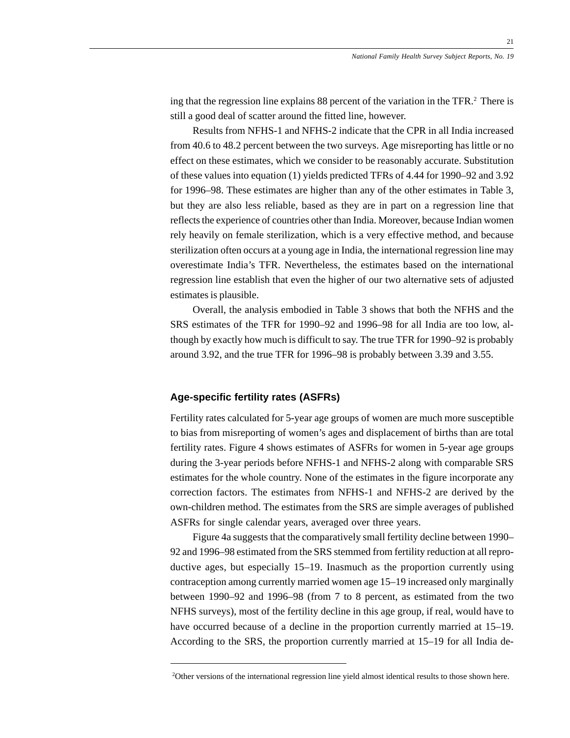ing that the regression line explains 88 percent of the variation in the TFR.<sup>2</sup> There is still a good deal of scatter around the fitted line, however.

Results from NFHS-1 and NFHS-2 indicate that the CPR in all India increased from 40.6 to 48.2 percent between the two surveys. Age misreporting has little or no effect on these estimates, which we consider to be reasonably accurate. Substitution of these values into equation (1) yields predicted TFRs of 4.44 for 1990–92 and 3.92 for 1996–98. These estimates are higher than any of the other estimates in Table 3, but they are also less reliable, based as they are in part on a regression line that reflects the experience of countries other than India. Moreover, because Indian women rely heavily on female sterilization, which is a very effective method, and because sterilization often occurs at a young age in India, the international regression line may overestimate India's TFR. Nevertheless, the estimates based on the international regression line establish that even the higher of our two alternative sets of adjusted estimates is plausible.

Overall, the analysis embodied in Table 3 shows that both the NFHS and the SRS estimates of the TFR for 1990–92 and 1996–98 for all India are too low, although by exactly how much is difficult to say. The true TFR for 1990–92 is probably around 3.92, and the true TFR for 1996–98 is probably between 3.39 and 3.55.

## **Age-specific fertility rates (ASFRs)**

Fertility rates calculated for 5-year age groups of women are much more susceptible to bias from misreporting of women's ages and displacement of births than are total fertility rates. Figure 4 shows estimates of ASFRs for women in 5-year age groups during the 3-year periods before NFHS-1 and NFHS-2 along with comparable SRS estimates for the whole country. None of the estimates in the figure incorporate any correction factors. The estimates from NFHS-1 and NFHS-2 are derived by the own-children method. The estimates from the SRS are simple averages of published ASFRs for single calendar years, averaged over three years.

Figure 4a suggests that the comparatively small fertility decline between 1990– 92 and 1996–98 estimated from the SRS stemmed from fertility reduction at all reproductive ages, but especially 15–19. Inasmuch as the proportion currently using contraception among currently married women age 15–19 increased only marginally between 1990–92 and 1996–98 (from 7 to 8 percent, as estimated from the two NFHS surveys), most of the fertility decline in this age group, if real, would have to have occurred because of a decline in the proportion currently married at 15–19. According to the SRS, the proportion currently married at 15–19 for all India de-

<sup>&</sup>lt;sup>2</sup>Other versions of the international regression line yield almost identical results to those shown here.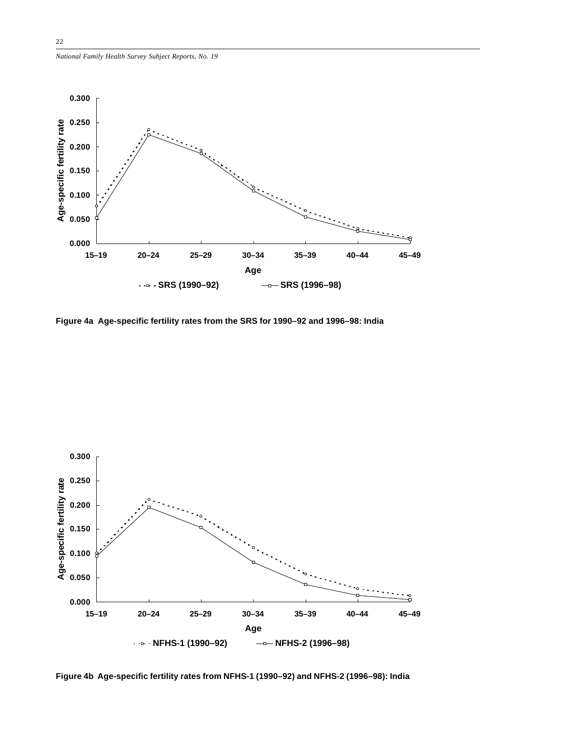![](_page_21_Figure_1.jpeg)

**Figure 4a Age-specific fertility rates from the SRS for 1990–92 and 1996–98: India**

![](_page_21_Figure_3.jpeg)

**Figure 4b Age-specific fertility rates from NFHS-1 (1990–92) and NFHS-2 (1996–98): India**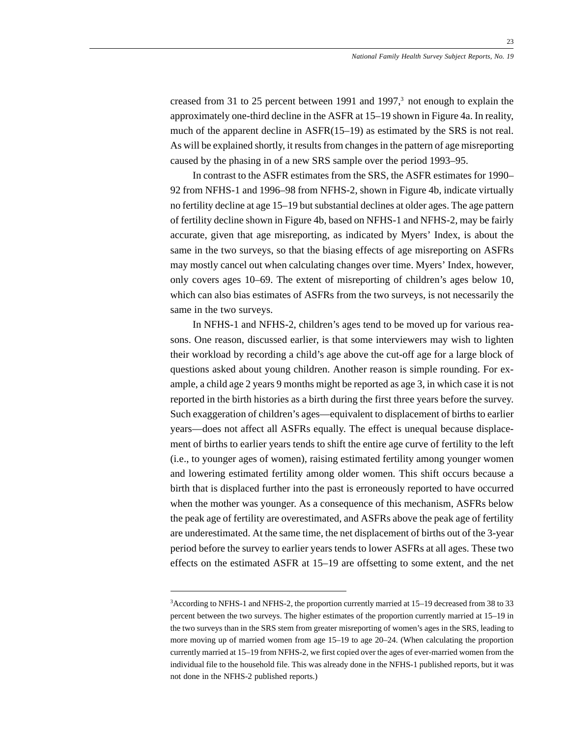creased from 31 to 25 percent between 1991 and 1997, $3$  not enough to explain the approximately one-third decline in the ASFR at 15–19 shown in Figure 4a. In reality, much of the apparent decline in ASFR(15–19) as estimated by the SRS is not real. As will be explained shortly, it results from changes in the pattern of age misreporting caused by the phasing in of a new SRS sample over the period 1993–95.

In contrast to the ASFR estimates from the SRS, the ASFR estimates for 1990– 92 from NFHS-1 and 1996–98 from NFHS-2, shown in Figure 4b, indicate virtually no fertility decline at age 15–19 but substantial declines at older ages. The age pattern of fertility decline shown in Figure 4b, based on NFHS-1 and NFHS-2, may be fairly accurate, given that age misreporting, as indicated by Myers' Index, is about the same in the two surveys, so that the biasing effects of age misreporting on ASFRs may mostly cancel out when calculating changes over time. Myers' Index, however, only covers ages 10–69. The extent of misreporting of children's ages below 10, which can also bias estimates of ASFRs from the two surveys, is not necessarily the same in the two surveys.

In NFHS-1 and NFHS-2, children's ages tend to be moved up for various reasons. One reason, discussed earlier, is that some interviewers may wish to lighten their workload by recording a child's age above the cut-off age for a large block of questions asked about young children. Another reason is simple rounding. For example, a child age 2 years 9 months might be reported as age 3, in which case it is not reported in the birth histories as a birth during the first three years before the survey. Such exaggeration of children's ages—equivalent to displacement of births to earlier years—does not affect all ASFRs equally. The effect is unequal because displacement of births to earlier years tends to shift the entire age curve of fertility to the left (i.e., to younger ages of women), raising estimated fertility among younger women and lowering estimated fertility among older women. This shift occurs because a birth that is displaced further into the past is erroneously reported to have occurred when the mother was younger. As a consequence of this mechanism, ASFRs below the peak age of fertility are overestimated, and ASFRs above the peak age of fertility are underestimated. At the same time, the net displacement of births out of the 3-year period before the survey to earlier years tends to lower ASFRs at all ages. These two effects on the estimated ASFR at 15–19 are offsetting to some extent, and the net

<sup>3</sup> According to NFHS-1 and NFHS-2, the proportion currently married at 15–19 decreased from 38 to 33 percent between the two surveys. The higher estimates of the proportion currently married at 15–19 in the two surveys than in the SRS stem from greater misreporting of women's ages in the SRS, leading to more moving up of married women from age 15–19 to age 20–24. (When calculating the proportion currently married at 15–19 from NFHS-2, we first copied over the ages of ever-married women from the individual file to the household file. This was already done in the NFHS-1 published reports, but it was not done in the NFHS-2 published reports.)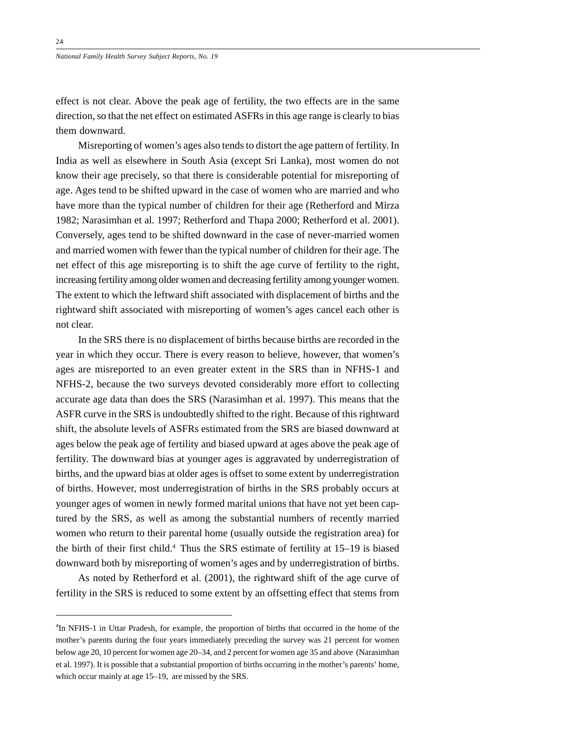effect is not clear. Above the peak age of fertility, the two effects are in the same direction, so that the net effect on estimated ASFRs in this age range is clearly to bias them downward.

Misreporting of women's ages also tends to distort the age pattern of fertility. In India as well as elsewhere in South Asia (except Sri Lanka), most women do not know their age precisely, so that there is considerable potential for misreporting of age. Ages tend to be shifted upward in the case of women who are married and who have more than the typical number of children for their age (Retherford and Mirza 1982; Narasimhan et al. 1997; Retherford and Thapa 2000; Retherford et al. 2001). Conversely, ages tend to be shifted downward in the case of never-married women and married women with fewer than the typical number of children for their age. The net effect of this age misreporting is to shift the age curve of fertility to the right, increasing fertility among older women and decreasing fertility among younger women. The extent to which the leftward shift associated with displacement of births and the rightward shift associated with misreporting of women's ages cancel each other is not clear.

In the SRS there is no displacement of births because births are recorded in the year in which they occur. There is every reason to believe, however, that women's ages are misreported to an even greater extent in the SRS than in NFHS-1 and NFHS-2, because the two surveys devoted considerably more effort to collecting accurate age data than does the SRS (Narasimhan et al. 1997). This means that the ASFR curve in the SRS is undoubtedly shifted to the right. Because of this rightward shift, the absolute levels of ASFRs estimated from the SRS are biased downward at ages below the peak age of fertility and biased upward at ages above the peak age of fertility. The downward bias at younger ages is aggravated by underregistration of births, and the upward bias at older ages is offset to some extent by underregistration of births. However, most underregistration of births in the SRS probably occurs at younger ages of women in newly formed marital unions that have not yet been captured by the SRS, as well as among the substantial numbers of recently married women who return to their parental home (usually outside the registration area) for the birth of their first child.4 Thus the SRS estimate of fertility at 15–19 is biased downward both by misreporting of women's ages and by underregistration of births.

As noted by Retherford et al. (2001), the rightward shift of the age curve of fertility in the SRS is reduced to some extent by an offsetting effect that stems from

<sup>4</sup> In NFHS-1 in Uttar Pradesh, for example, the proportion of births that occurred in the home of the mother's parents during the four years immediately preceding the survey was 21 percent for women below age 20, 10 percent for women age 20–34, and 2 percent for women age 35 and above (Narasimhan et al. 1997). It is possible that a substantial proportion of births occurring in the mother's parents' home, which occur mainly at age 15–19, are missed by the SRS.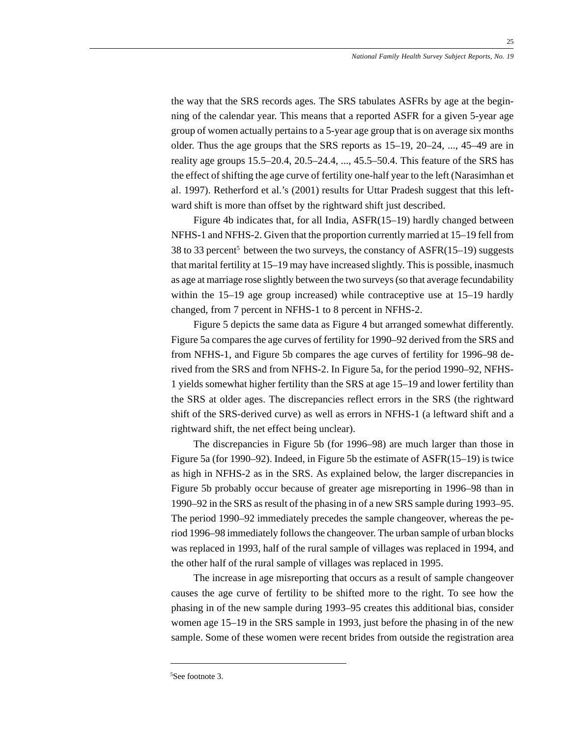the way that the SRS records ages. The SRS tabulates ASFRs by age at the beginning of the calendar year. This means that a reported ASFR for a given 5-year age group of women actually pertains to a 5-year age group that is on average six months older. Thus the age groups that the SRS reports as 15–19, 20–24, ..., 45–49 are in reality age groups 15.5–20.4, 20.5–24.4, ..., 45.5–50.4. This feature of the SRS has the effect of shifting the age curve of fertility one-half year to the left (Narasimhan et al. 1997). Retherford et al.'s (2001) results for Uttar Pradesh suggest that this leftward shift is more than offset by the rightward shift just described.

Figure 4b indicates that, for all India, ASFR(15–19) hardly changed between NFHS-1 and NFHS-2. Given that the proportion currently married at 15–19 fell from 38 to 33 percent<sup>5</sup> between the two surveys, the constancy of  $ASFR(15–19)$  suggests that marital fertility at 15–19 may have increased slightly. This is possible, inasmuch as age at marriage rose slightly between the two surveys (so that average fecundability within the 15–19 age group increased) while contraceptive use at 15–19 hardly changed, from 7 percent in NFHS-1 to 8 percent in NFHS-2.

Figure 5 depicts the same data as Figure 4 but arranged somewhat differently. Figure 5a compares the age curves of fertility for 1990–92 derived from the SRS and from NFHS-1, and Figure 5b compares the age curves of fertility for 1996–98 derived from the SRS and from NFHS-2. In Figure 5a, for the period 1990–92, NFHS-1 yields somewhat higher fertility than the SRS at age 15–19 and lower fertility than the SRS at older ages. The discrepancies reflect errors in the SRS (the rightward shift of the SRS-derived curve) as well as errors in NFHS-1 (a leftward shift and a rightward shift, the net effect being unclear).

The discrepancies in Figure 5b (for 1996–98) are much larger than those in Figure 5a (for 1990–92). Indeed, in Figure 5b the estimate of ASFR(15–19) is twice as high in NFHS-2 as in the SRS. As explained below, the larger discrepancies in Figure 5b probably occur because of greater age misreporting in 1996–98 than in 1990–92 in the SRS as result of the phasing in of a new SRS sample during 1993–95. The period 1990–92 immediately precedes the sample changeover, whereas the period 1996–98 immediately follows the changeover. The urban sample of urban blocks was replaced in 1993, half of the rural sample of villages was replaced in 1994, and the other half of the rural sample of villages was replaced in 1995.

The increase in age misreporting that occurs as a result of sample changeover causes the age curve of fertility to be shifted more to the right. To see how the phasing in of the new sample during 1993–95 creates this additional bias, consider women age 15–19 in the SRS sample in 1993, just before the phasing in of the new sample. Some of these women were recent brides from outside the registration area

<sup>25</sup>

<sup>5</sup> See footnote 3.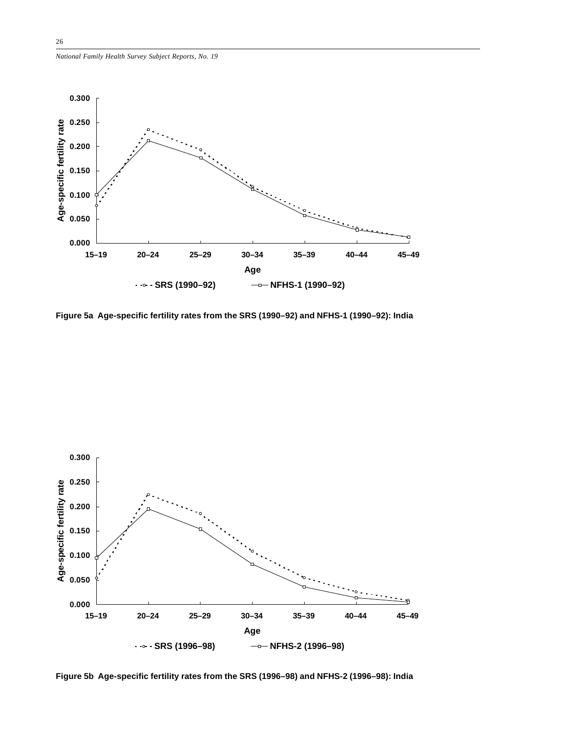![](_page_25_Figure_1.jpeg)

**Figure 5a Age-specific fertility rates from the SRS (1990–92) and NFHS-1 (1990–92): India**

![](_page_25_Figure_3.jpeg)

**Figure 5b Age-specific fertility rates from the SRS (1996–98) and NFHS-2 (1996–98): India**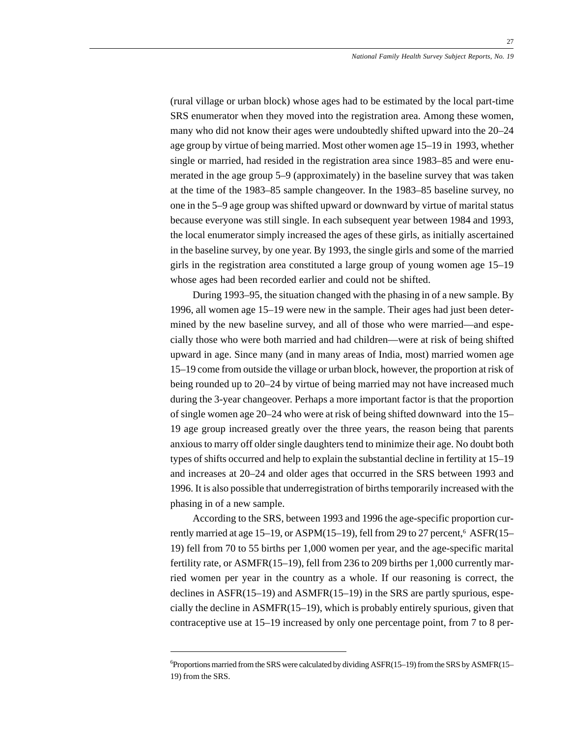(rural village or urban block) whose ages had to be estimated by the local part-time SRS enumerator when they moved into the registration area. Among these women, many who did not know their ages were undoubtedly shifted upward into the 20–24 age group by virtue of being married. Most other women age 15–19 in 1993, whether single or married, had resided in the registration area since 1983–85 and were enumerated in the age group 5–9 (approximately) in the baseline survey that was taken at the time of the 1983–85 sample changeover. In the 1983–85 baseline survey, no one in the 5–9 age group was shifted upward or downward by virtue of marital status because everyone was still single. In each subsequent year between 1984 and 1993, the local enumerator simply increased the ages of these girls, as initially ascertained in the baseline survey, by one year. By 1993, the single girls and some of the married girls in the registration area constituted a large group of young women age 15–19 whose ages had been recorded earlier and could not be shifted.

During 1993–95, the situation changed with the phasing in of a new sample. By 1996, all women age 15–19 were new in the sample. Their ages had just been determined by the new baseline survey, and all of those who were married—and especially those who were both married and had children—were at risk of being shifted upward in age. Since many (and in many areas of India, most) married women age 15–19 come from outside the village or urban block, however, the proportion at risk of being rounded up to 20–24 by virtue of being married may not have increased much during the 3-year changeover. Perhaps a more important factor is that the proportion of single women age 20–24 who were at risk of being shifted downward into the 15– 19 age group increased greatly over the three years, the reason being that parents anxious to marry off older single daughters tend to minimize their age. No doubt both types of shifts occurred and help to explain the substantial decline in fertility at 15–19 and increases at 20–24 and older ages that occurred in the SRS between 1993 and 1996. It is also possible that underregistration of births temporarily increased with the phasing in of a new sample.

According to the SRS, between 1993 and 1996 the age-specific proportion currently married at age 15–19, or ASPM(15–19), fell from 29 to 27 percent,<sup>6</sup> ASFR(15– 19) fell from 70 to 55 births per 1,000 women per year, and the age-specific marital fertility rate, or ASMFR(15–19), fell from 236 to 209 births per 1,000 currently married women per year in the country as a whole. If our reasoning is correct, the declines in ASFR(15–19) and ASMFR(15–19) in the SRS are partly spurious, especially the decline in ASMFR(15–19), which is probably entirely spurious, given that contraceptive use at 15–19 increased by only one percentage point, from 7 to 8 per-

<sup>6</sup> Proportions married from the SRS were calculated by dividing ASFR(15–19) from the SRS by ASMFR(15– 19) from the SRS.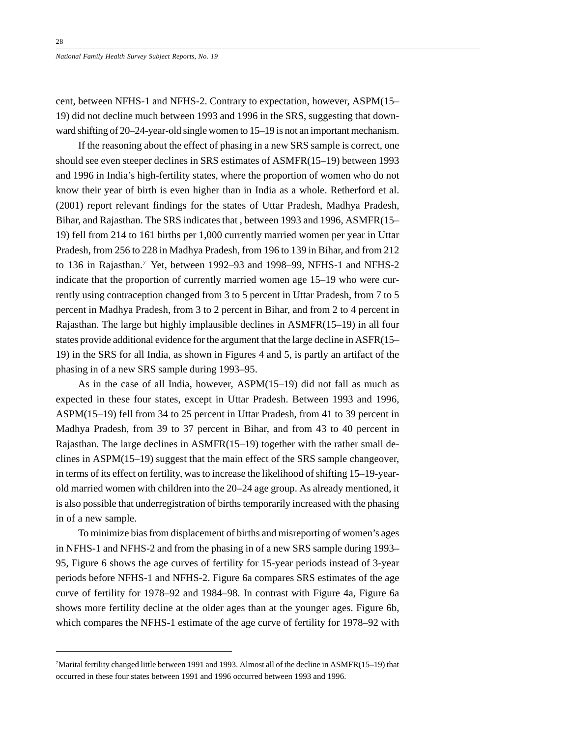*National Family Health Survey Subject Reports, No. 19*

cent, between NFHS-1 and NFHS-2. Contrary to expectation, however, ASPM(15– 19) did not decline much between 1993 and 1996 in the SRS, suggesting that downward shifting of 20–24-year-old single women to 15–19 is not an important mechanism.

If the reasoning about the effect of phasing in a new SRS sample is correct, one should see even steeper declines in SRS estimates of ASMFR(15–19) between 1993 and 1996 in India's high-fertility states, where the proportion of women who do not know their year of birth is even higher than in India as a whole. Retherford et al. (2001) report relevant findings for the states of Uttar Pradesh, Madhya Pradesh, Bihar, and Rajasthan. The SRS indicates that , between 1993 and 1996, ASMFR(15– 19) fell from 214 to 161 births per 1,000 currently married women per year in Uttar Pradesh, from 256 to 228 in Madhya Pradesh, from 196 to 139 in Bihar, and from 212 to 136 in Rajasthan.<sup>7</sup> Yet, between 1992–93 and 1998–99, NFHS-1 and NFHS-2 indicate that the proportion of currently married women age 15–19 who were currently using contraception changed from 3 to 5 percent in Uttar Pradesh, from 7 to 5 percent in Madhya Pradesh, from 3 to 2 percent in Bihar, and from 2 to 4 percent in Rajasthan. The large but highly implausible declines in ASMFR(15–19) in all four states provide additional evidence for the argument that the large decline in ASFR(15– 19) in the SRS for all India, as shown in Figures 4 and 5, is partly an artifact of the phasing in of a new SRS sample during 1993–95.

As in the case of all India, however, ASPM(15–19) did not fall as much as expected in these four states, except in Uttar Pradesh. Between 1993 and 1996, ASPM(15–19) fell from 34 to 25 percent in Uttar Pradesh, from 41 to 39 percent in Madhya Pradesh, from 39 to 37 percent in Bihar, and from 43 to 40 percent in Rajasthan. The large declines in ASMFR(15–19) together with the rather small declines in ASPM(15–19) suggest that the main effect of the SRS sample changeover, in terms of its effect on fertility, was to increase the likelihood of shifting 15–19-yearold married women with children into the 20–24 age group. As already mentioned, it is also possible that underregistration of births temporarily increased with the phasing in of a new sample.

To minimize bias from displacement of births and misreporting of women's ages in NFHS-1 and NFHS-2 and from the phasing in of a new SRS sample during 1993– 95, Figure 6 shows the age curves of fertility for 15-year periods instead of 3-year periods before NFHS-1 and NFHS-2. Figure 6a compares SRS estimates of the age curve of fertility for 1978–92 and 1984–98. In contrast with Figure 4a, Figure 6a shows more fertility decline at the older ages than at the younger ages. Figure 6b, which compares the NFHS-1 estimate of the age curve of fertility for 1978–92 with

<sup>7</sup> Marital fertility changed little between 1991 and 1993. Almost all of the decline in ASMFR(15–19) that occurred in these four states between 1991 and 1996 occurred between 1993 and 1996.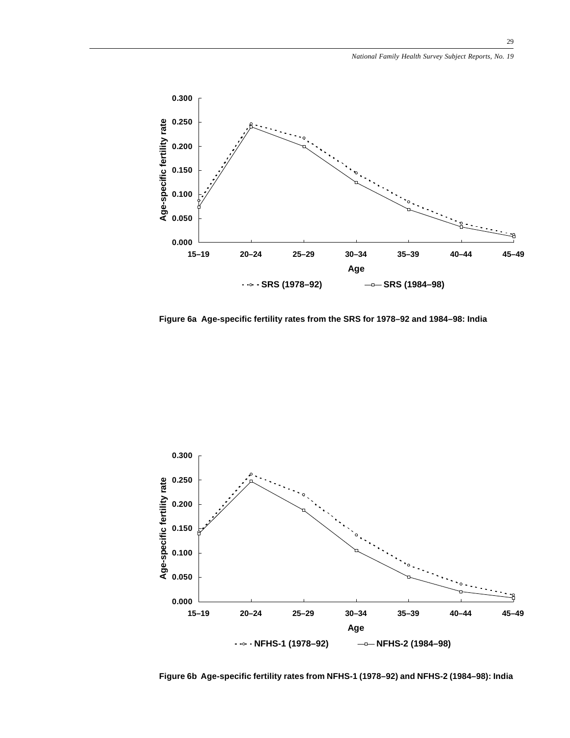![](_page_28_Figure_1.jpeg)

**Figure 6a Age-specific fertility rates from the SRS for 1978–92 and 1984–98: India**

![](_page_28_Figure_3.jpeg)

**Figure 6b Age-specific fertility rates from NFHS-1 (1978–92) and NFHS-2 (1984–98): India**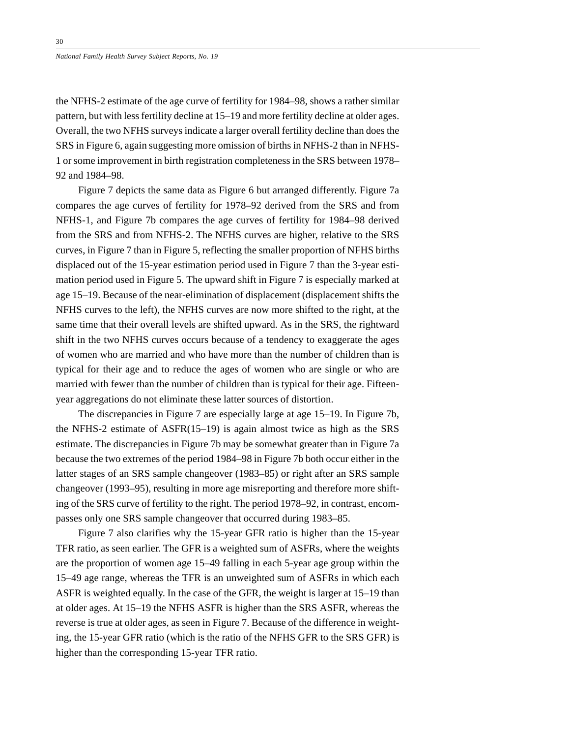the NFHS-2 estimate of the age curve of fertility for 1984–98, shows a rather similar pattern, but with less fertility decline at 15–19 and more fertility decline at older ages. Overall, the two NFHS surveys indicate a larger overall fertility decline than does the SRS in Figure 6, again suggesting more omission of births in NFHS-2 than in NFHS-1 or some improvement in birth registration completeness in the SRS between 1978– 92 and 1984–98.

Figure 7 depicts the same data as Figure 6 but arranged differently. Figure 7a compares the age curves of fertility for 1978–92 derived from the SRS and from NFHS-1, and Figure 7b compares the age curves of fertility for 1984–98 derived from the SRS and from NFHS-2. The NFHS curves are higher, relative to the SRS curves, in Figure 7 than in Figure 5, reflecting the smaller proportion of NFHS births displaced out of the 15-year estimation period used in Figure 7 than the 3-year estimation period used in Figure 5. The upward shift in Figure 7 is especially marked at age 15–19. Because of the near-elimination of displacement (displacement shifts the NFHS curves to the left), the NFHS curves are now more shifted to the right, at the same time that their overall levels are shifted upward. As in the SRS, the rightward shift in the two NFHS curves occurs because of a tendency to exaggerate the ages of women who are married and who have more than the number of children than is typical for their age and to reduce the ages of women who are single or who are married with fewer than the number of children than is typical for their age. Fifteenyear aggregations do not eliminate these latter sources of distortion.

The discrepancies in Figure 7 are especially large at age 15–19. In Figure 7b, the NFHS-2 estimate of ASFR(15–19) is again almost twice as high as the SRS estimate. The discrepancies in Figure 7b may be somewhat greater than in Figure 7a because the two extremes of the period 1984–98 in Figure 7b both occur either in the latter stages of an SRS sample changeover (1983–85) or right after an SRS sample changeover (1993–95), resulting in more age misreporting and therefore more shifting of the SRS curve of fertility to the right. The period 1978–92, in contrast, encompasses only one SRS sample changeover that occurred during 1983–85.

Figure 7 also clarifies why the 15-year GFR ratio is higher than the 15-year TFR ratio, as seen earlier. The GFR is a weighted sum of ASFRs, where the weights are the proportion of women age 15–49 falling in each 5-year age group within the 15–49 age range, whereas the TFR is an unweighted sum of ASFRs in which each ASFR is weighted equally. In the case of the GFR, the weight is larger at 15–19 than at older ages. At 15–19 the NFHS ASFR is higher than the SRS ASFR, whereas the reverse is true at older ages, as seen in Figure 7. Because of the difference in weighting, the 15-year GFR ratio (which is the ratio of the NFHS GFR to the SRS GFR) is higher than the corresponding 15-year TFR ratio.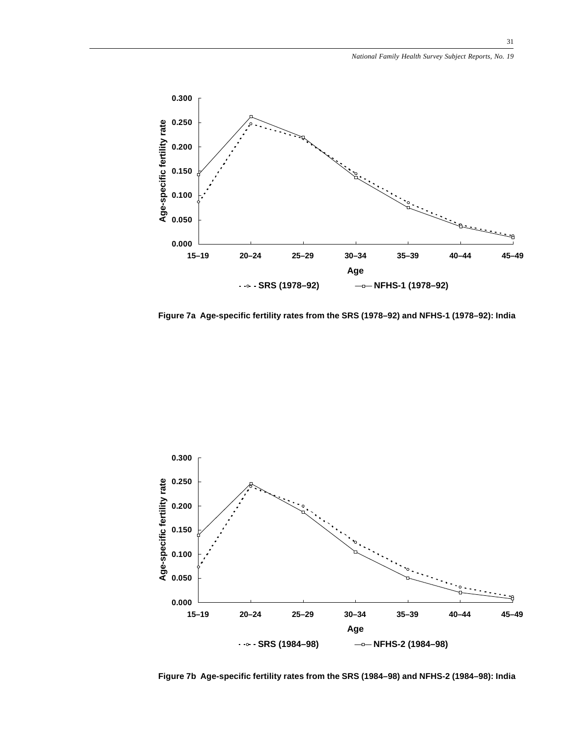![](_page_30_Figure_1.jpeg)

**Figure 7a Age-specific fertility rates from the SRS (1978–92) and NFHS-1 (1978–92): India**

![](_page_30_Figure_3.jpeg)

**Figure 7b Age-specific fertility rates from the SRS (1984–98) and NFHS-2 (1984–98): India**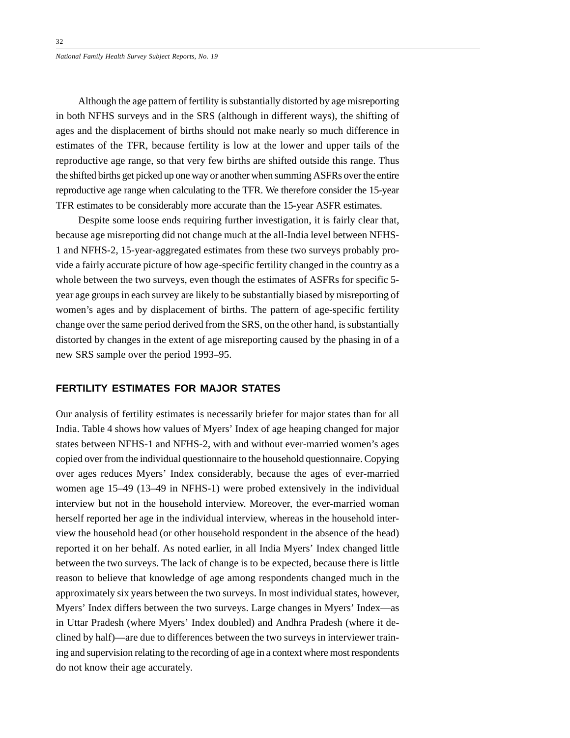Although the age pattern of fertility is substantially distorted by age misreporting in both NFHS surveys and in the SRS (although in different ways), the shifting of ages and the displacement of births should not make nearly so much difference in estimates of the TFR, because fertility is low at the lower and upper tails of the reproductive age range, so that very few births are shifted outside this range. Thus the shifted births get picked up one way or another when summing ASFRs over the entire reproductive age range when calculating to the TFR. We therefore consider the 15-year TFR estimates to be considerably more accurate than the 15-year ASFR estimates.

Despite some loose ends requiring further investigation, it is fairly clear that, because age misreporting did not change much at the all-India level between NFHS-1 and NFHS-2, 15-year-aggregated estimates from these two surveys probably provide a fairly accurate picture of how age-specific fertility changed in the country as a whole between the two surveys, even though the estimates of ASFRs for specific 5 year age groups in each survey are likely to be substantially biased by misreporting of women's ages and by displacement of births. The pattern of age-specific fertility change over the same period derived from the SRS, on the other hand, is substantially distorted by changes in the extent of age misreporting caused by the phasing in of a new SRS sample over the period 1993–95.

# **FERTILITY ESTIMATES FOR MAJOR STATES**

Our analysis of fertility estimates is necessarily briefer for major states than for all India. Table 4 shows how values of Myers' Index of age heaping changed for major states between NFHS-1 and NFHS-2, with and without ever-married women's ages copied over from the individual questionnaire to the household questionnaire. Copying over ages reduces Myers' Index considerably, because the ages of ever-married women age 15–49 (13–49 in NFHS-1) were probed extensively in the individual interview but not in the household interview. Moreover, the ever-married woman herself reported her age in the individual interview, whereas in the household interview the household head (or other household respondent in the absence of the head) reported it on her behalf. As noted earlier, in all India Myers' Index changed little between the two surveys. The lack of change is to be expected, because there is little reason to believe that knowledge of age among respondents changed much in the approximately six years between the two surveys. In most individual states, however, Myers' Index differs between the two surveys. Large changes in Myers' Index—as in Uttar Pradesh (where Myers' Index doubled) and Andhra Pradesh (where it declined by half)—are due to differences between the two surveys in interviewer training and supervision relating to the recording of age in a context where most respondents do not know their age accurately.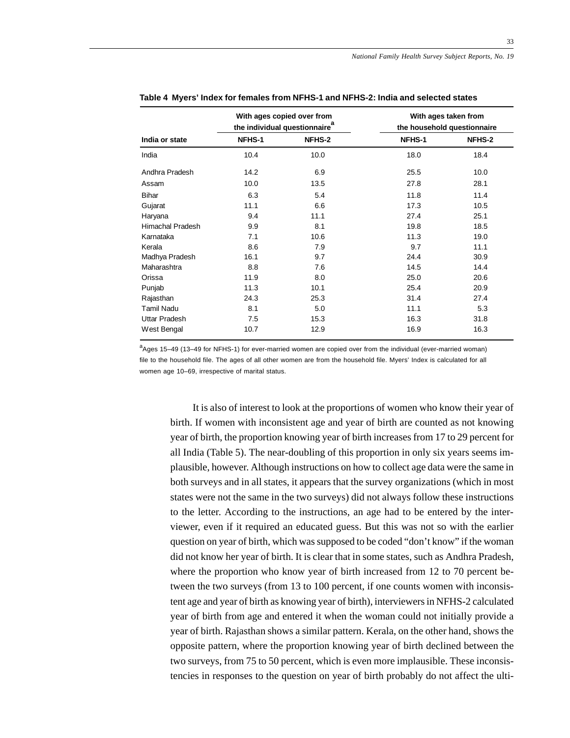|                   |               | With ages copied over from<br>the individual questionnaire <sup>a</sup> | With ages taken from<br>the household questionnaire |        |  |  |
|-------------------|---------------|-------------------------------------------------------------------------|-----------------------------------------------------|--------|--|--|
| India or state    | <b>NFHS-1</b> | NFHS-2                                                                  | NFHS-1                                              | NFHS-2 |  |  |
| India             | 10.4          | 10.0                                                                    | 18.0                                                | 18.4   |  |  |
| Andhra Pradesh    | 14.2          | 6.9                                                                     | 25.5                                                | 10.0   |  |  |
| Assam             | 10.0          | 13.5                                                                    | 27.8                                                | 28.1   |  |  |
| <b>Bihar</b>      | 6.3           | 5.4                                                                     | 11.8                                                | 11.4   |  |  |
| Gujarat           | 11.1          | 6.6                                                                     | 17.3                                                | 10.5   |  |  |
| Haryana           | 9.4           | 11.1                                                                    | 27.4                                                | 25.1   |  |  |
| Himachal Pradesh  | 9.9           | 8.1                                                                     | 19.8                                                | 18.5   |  |  |
| Karnataka         | 7.1           | 10.6                                                                    | 11.3                                                | 19.0   |  |  |
| Kerala            | 8.6           | 7.9                                                                     | 9.7                                                 | 11.1   |  |  |
| Madhya Pradesh    | 16.1          | 9.7                                                                     | 24.4                                                | 30.9   |  |  |
| Maharashtra       | 8.8           | 7.6                                                                     | 14.5                                                | 14.4   |  |  |
| Orissa            | 11.9          | 8.0                                                                     | 25.0                                                | 20.6   |  |  |
| Punjab            | 11.3          | 10.1                                                                    | 25.4                                                | 20.9   |  |  |
| Rajasthan         | 24.3          | 25.3                                                                    | 31.4                                                | 27.4   |  |  |
| <b>Tamil Nadu</b> | 8.1           | 5.0                                                                     | 11.1                                                | 5.3    |  |  |
| Uttar Pradesh     | 7.5           | 15.3                                                                    | 16.3                                                | 31.8   |  |  |
| West Bengal       | 10.7          | 12.9                                                                    | 16.9                                                | 16.3   |  |  |

a<sub>Ages</sub> 15–49 (13–49 for NFHS-1) for ever-married women are copied over from the individual (ever-married woman) file to the household file. The ages of all other women are from the household file. Myers' Index is calculated for all women age 10–69, irrespective of marital status.

It is also of interest to look at the proportions of women who know their year of birth. If women with inconsistent age and year of birth are counted as not knowing year of birth, the proportion knowing year of birth increases from 17 to 29 percent for all India (Table 5). The near-doubling of this proportion in only six years seems implausible, however. Although instructions on how to collect age data were the same in both surveys and in all states, it appears that the survey organizations (which in most states were not the same in the two surveys) did not always follow these instructions to the letter. According to the instructions, an age had to be entered by the interviewer, even if it required an educated guess. But this was not so with the earlier question on year of birth, which was supposed to be coded "don't know" if the woman did not know her year of birth. It is clear that in some states, such as Andhra Pradesh, where the proportion who know year of birth increased from 12 to 70 percent between the two surveys (from 13 to 100 percent, if one counts women with inconsistent age and year of birth as knowing year of birth), interviewers in NFHS-2 calculated year of birth from age and entered it when the woman could not initially provide a year of birth. Rajasthan shows a similar pattern. Kerala, on the other hand, shows the opposite pattern, where the proportion knowing year of birth declined between the two surveys, from 75 to 50 percent, which is even more implausible. These inconsistencies in responses to the question on year of birth probably do not affect the ulti-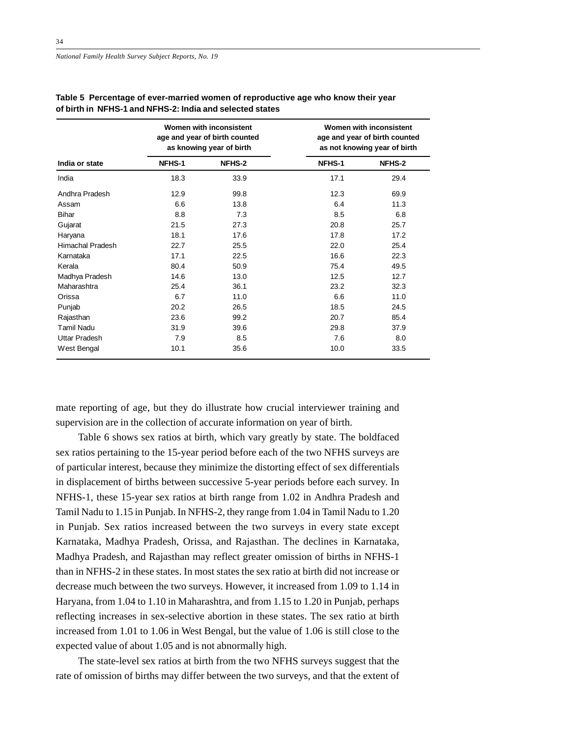|                  |               | Women with inconsistent<br>age and year of birth counted<br>as knowing year of birth | Women with inconsistent<br>age and year of birth counted<br>as not knowing year of birth |        |  |  |
|------------------|---------------|--------------------------------------------------------------------------------------|------------------------------------------------------------------------------------------|--------|--|--|
| India or state   | <b>NFHS-1</b> | NFHS-2                                                                               | NFHS-1                                                                                   | NFHS-2 |  |  |
| India            | 18.3          | 33.9                                                                                 | 17.1                                                                                     | 29.4   |  |  |
| Andhra Pradesh   | 12.9          | 99.8                                                                                 | 12.3                                                                                     | 69.9   |  |  |
| Assam            | 6.6           | 13.8                                                                                 | 6.4                                                                                      | 11.3   |  |  |
| <b>Bihar</b>     | 8.8           | 7.3                                                                                  | 8.5                                                                                      | 6.8    |  |  |
| Gujarat          | 21.5          | 27.3                                                                                 | 20.8                                                                                     | 25.7   |  |  |
| Haryana          | 18.1          | 17.6                                                                                 | 17.8                                                                                     | 17.2   |  |  |
| Himachal Pradesh | 22.7          | 25.5                                                                                 | 22.0                                                                                     | 25.4   |  |  |
| Karnataka        | 17.1          | 22.5                                                                                 | 16.6                                                                                     | 22.3   |  |  |
| Kerala           | 80.4          | 50.9                                                                                 | 75.4                                                                                     | 49.5   |  |  |
| Madhya Pradesh   | 14.6          | 13.0                                                                                 | 12.5                                                                                     | 12.7   |  |  |
| Maharashtra      | 25.4          | 36.1                                                                                 | 23.2                                                                                     | 32.3   |  |  |
| Orissa           | 6.7           | 11.0                                                                                 | 6.6                                                                                      | 11.0   |  |  |
| Punjab           | 20.2          | 26.5                                                                                 | 18.5                                                                                     | 24.5   |  |  |
| Rajasthan        | 23.6          | 99.2                                                                                 | 20.7                                                                                     | 85.4   |  |  |
| Tamil Nadu       | 31.9          | 39.6                                                                                 | 29.8                                                                                     | 37.9   |  |  |
| Uttar Pradesh    | 7.9           | 8.5                                                                                  | 7.6                                                                                      | 8.0    |  |  |
| West Bengal      | 10.1          | 35.6                                                                                 | 10.0                                                                                     | 33.5   |  |  |

### **Table 5 Percentage of ever-married women of reproductive age who know their year of birth in NFHS-1 and NFHS-2: India and selected states**

mate reporting of age, but they do illustrate how crucial interviewer training and supervision are in the collection of accurate information on year of birth.

Table 6 shows sex ratios at birth, which vary greatly by state. The boldfaced sex ratios pertaining to the 15-year period before each of the two NFHS surveys are of particular interest, because they minimize the distorting effect of sex differentials in displacement of births between successive 5-year periods before each survey. In NFHS-1, these 15-year sex ratios at birth range from 1.02 in Andhra Pradesh and Tamil Nadu to 1.15 in Punjab. In NFHS-2, they range from 1.04 in Tamil Nadu to 1.20 in Punjab. Sex ratios increased between the two surveys in every state except Karnataka, Madhya Pradesh, Orissa, and Rajasthan. The declines in Karnataka, Madhya Pradesh, and Rajasthan may reflect greater omission of births in NFHS-1 than in NFHS-2 in these states. In most states the sex ratio at birth did not increase or decrease much between the two surveys. However, it increased from 1.09 to 1.14 in Haryana, from 1.04 to 1.10 in Maharashtra, and from 1.15 to 1.20 in Punjab, perhaps reflecting increases in sex-selective abortion in these states. The sex ratio at birth increased from 1.01 to 1.06 in West Bengal, but the value of 1.06 is still close to the expected value of about 1.05 and is not abnormally high.

The state-level sex ratios at birth from the two NFHS surveys suggest that the rate of omission of births may differ between the two surveys, and that the extent of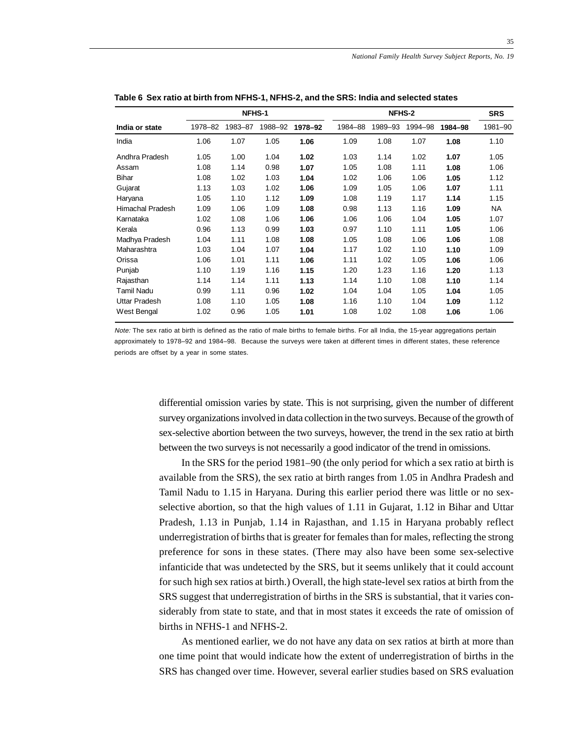| <b>NFHS-1</b>        |         |         |         |         | <b>NFHS-2</b> |         |         |         | <b>SRS</b> |
|----------------------|---------|---------|---------|---------|---------------|---------|---------|---------|------------|
| India or state       | 1978-82 | 1983-87 | 1988–92 | 1978-92 | 1984-88       | 1989-93 | 1994-98 | 1984-98 | 1981-90    |
| India                | 1.06    | 1.07    | 1.05    | 1.06    | 1.09          | 1.08    | 1.07    | 1.08    | 1.10       |
| Andhra Pradesh       | 1.05    | 1.00    | 1.04    | 1.02    | 1.03          | 1.14    | 1.02    | 1.07    | 1.05       |
| Assam                | 1.08    | 1.14    | 0.98    | 1.07    | 1.05          | 1.08    | 1.11    | 1.08    | 1.06       |
| <b>Bihar</b>         | 1.08    | 1.02    | 1.03    | 1.04    | 1.02          | 1.06    | 1.06    | 1.05    | 1.12       |
| Gujarat              | 1.13    | 1.03    | 1.02    | 1.06    | 1.09          | 1.05    | 1.06    | 1.07    | 1.11       |
| Haryana              | 1.05    | 1.10    | 1.12    | 1.09    | 1.08          | 1.19    | 1.17    | 1.14    | 1.15       |
| Himachal Pradesh     | 1.09    | 1.06    | 1.09    | 1.08    | 0.98          | 1.13    | 1.16    | 1.09    | NA.        |
| Karnataka            | 1.02    | 1.08    | 1.06    | 1.06    | 1.06          | 1.06    | 1.04    | 1.05    | 1.07       |
| Kerala               | 0.96    | 1.13    | 0.99    | 1.03    | 0.97          | 1.10    | 1.11    | 1.05    | 1.06       |
| Madhya Pradesh       | 1.04    | 1.11    | 1.08    | 1.08    | 1.05          | 1.08    | 1.06    | 1.06    | 1.08       |
| Maharashtra          | 1.03    | 1.04    | 1.07    | 1.04    | 1.17          | 1.02    | 1.10    | 1.10    | 1.09       |
| Orissa               | 1.06    | 1.01    | 1.11    | 1.06    | 1.11          | 1.02    | 1.05    | 1.06    | 1.06       |
| Punjab               | 1.10    | 1.19    | 1.16    | 1.15    | 1.20          | 1.23    | 1.16    | 1.20    | 1.13       |
| Rajasthan            | 1.14    | 1.14    | 1.11    | 1.13    | 1.14          | 1.10    | 1.08    | 1.10    | 1.14       |
| <b>Tamil Nadu</b>    | 0.99    | 1.11    | 0.96    | 1.02    | 1.04          | 1.04    | 1.05    | 1.04    | 1.05       |
| <b>Uttar Pradesh</b> | 1.08    | 1.10    | 1.05    | 1.08    | 1.16          | 1.10    | 1.04    | 1.09    | 1.12       |
| West Bengal          | 1.02    | 0.96    | 1.05    | 1.01    | 1.08          | 1.02    | 1.08    | 1.06    | 1.06       |

**Table 6 Sex ratio at birth from NFHS-1, NFHS-2, and the SRS: India and selected states**

Note: The sex ratio at birth is defined as the ratio of male births to female births. For all India, the 15-year aggregations pertain approximately to 1978–92 and 1984–98. Because the surveys were taken at different times in different states, these reference periods are offset by a year in some states.

> differential omission varies by state. This is not surprising, given the number of different survey organizations involved in data collection in the two surveys. Because of the growth of sex-selective abortion between the two surveys, however, the trend in the sex ratio at birth between the two surveys is not necessarily a good indicator of the trend in omissions.

> In the SRS for the period 1981–90 (the only period for which a sex ratio at birth is available from the SRS), the sex ratio at birth ranges from 1.05 in Andhra Pradesh and Tamil Nadu to 1.15 in Haryana. During this earlier period there was little or no sexselective abortion, so that the high values of 1.11 in Gujarat, 1.12 in Bihar and Uttar Pradesh, 1.13 in Punjab, 1.14 in Rajasthan, and 1.15 in Haryana probably reflect underregistration of births that is greater for females than for males, reflecting the strong preference for sons in these states. (There may also have been some sex-selective infanticide that was undetected by the SRS, but it seems unlikely that it could account for such high sex ratios at birth.) Overall, the high state-level sex ratios at birth from the SRS suggest that underregistration of births in the SRS is substantial, that it varies considerably from state to state, and that in most states it exceeds the rate of omission of births in NFHS-1 and NFHS-2.

> As mentioned earlier, we do not have any data on sex ratios at birth at more than one time point that would indicate how the extent of underregistration of births in the SRS has changed over time. However, several earlier studies based on SRS evaluation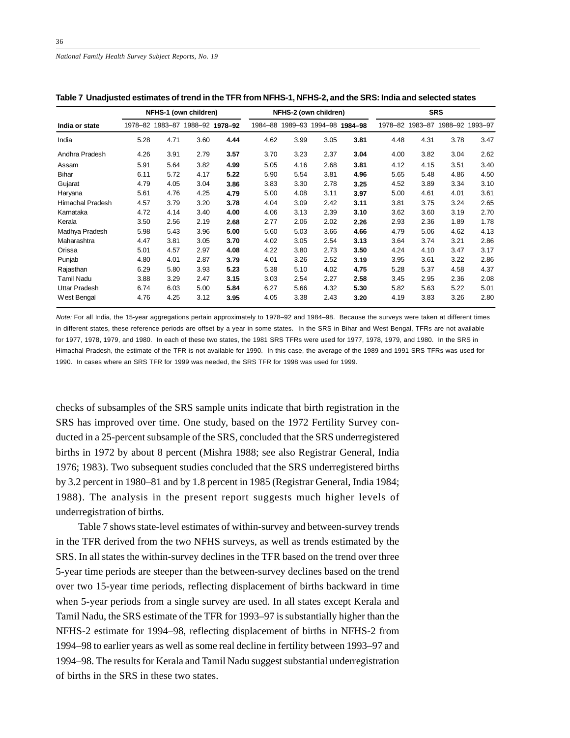*National Family Health Survey Subject Reports, No. 19*

|                      | NFHS-1 (own children) |      |      |                                 |      | NFHS-2 (own children)           |      |      |      | <b>SRS</b> |                                 |      |  |
|----------------------|-----------------------|------|------|---------------------------------|------|---------------------------------|------|------|------|------------|---------------------------------|------|--|
| India or state       |                       |      |      | 1978-82 1983-87 1988-92 1978-92 |      | 1984-88 1989-93 1994-98 1984-98 |      |      |      |            | 1978-82 1983-87 1988-92 1993-97 |      |  |
| India                | 5.28                  | 4.71 | 3.60 | 4.44                            | 4.62 | 3.99                            | 3.05 | 3.81 | 4.48 | 4.31       | 3.78                            | 3.47 |  |
| Andhra Pradesh       | 4.26                  | 3.91 | 2.79 | 3.57                            | 3.70 | 3.23                            | 2.37 | 3.04 | 4.00 | 3.82       | 3.04                            | 2.62 |  |
| Assam                | 5.91                  | 5.64 | 3.82 | 4.99                            | 5.05 | 4.16                            | 2.68 | 3.81 | 4.12 | 4.15       | 3.51                            | 3.40 |  |
| <b>Bihar</b>         | 6.11                  | 5.72 | 4.17 | 5.22                            | 5.90 | 5.54                            | 3.81 | 4.96 | 5.65 | 5.48       | 4.86                            | 4.50 |  |
| Gujarat              | 4.79                  | 4.05 | 3.04 | 3.86                            | 3.83 | 3.30                            | 2.78 | 3.25 | 4.52 | 3.89       | 3.34                            | 3.10 |  |
| Haryana              | 5.61                  | 4.76 | 4.25 | 4.79                            | 5.00 | 4.08                            | 3.11 | 3.97 | 5.00 | 4.61       | 4.01                            | 3.61 |  |
| Himachal Pradesh     | 4.57                  | 3.79 | 3.20 | 3.78                            | 4.04 | 3.09                            | 2.42 | 3.11 | 3.81 | 3.75       | 3.24                            | 2.65 |  |
| Karnataka            | 4.72                  | 4.14 | 3.40 | 4.00                            | 4.06 | 3.13                            | 2.39 | 3.10 | 3.62 | 3.60       | 3.19                            | 2.70 |  |
| Kerala               | 3.50                  | 2.56 | 2.19 | 2.68                            | 2.77 | 2.06                            | 2.02 | 2.26 | 2.93 | 2.36       | 1.89                            | 1.78 |  |
| Madhya Pradesh       | 5.98                  | 5.43 | 3.96 | 5.00                            | 5.60 | 5.03                            | 3.66 | 4.66 | 4.79 | 5.06       | 4.62                            | 4.13 |  |
| Maharashtra          | 4.47                  | 3.81 | 3.05 | 3.70                            | 4.02 | 3.05                            | 2.54 | 3.13 | 3.64 | 3.74       | 3.21                            | 2.86 |  |
| Orissa               | 5.01                  | 4.57 | 2.97 | 4.08                            | 4.22 | 3.80                            | 2.73 | 3.50 | 4.24 | 4.10       | 3.47                            | 3.17 |  |
| Punjab               | 4.80                  | 4.01 | 2.87 | 3.79                            | 4.01 | 3.26                            | 2.52 | 3.19 | 3.95 | 3.61       | 3.22                            | 2.86 |  |
| Rajasthan            | 6.29                  | 5.80 | 3.93 | 5.23                            | 5.38 | 5.10                            | 4.02 | 4.75 | 5.28 | 5.37       | 4.58                            | 4.37 |  |
| Tamil Nadu           | 3.88                  | 3.29 | 2.47 | 3.15                            | 3.03 | 2.54                            | 2.27 | 2.58 | 3.45 | 2.95       | 2.36                            | 2.08 |  |
| <b>Uttar Pradesh</b> | 6.74                  | 6.03 | 5.00 | 5.84                            | 6.27 | 5.66                            | 4.32 | 5.30 | 5.82 | 5.63       | 5.22                            | 5.01 |  |
| West Bengal          | 4.76                  | 4.25 | 3.12 | 3.95                            | 4.05 | 3.38                            | 2.43 | 3.20 | 4.19 | 3.83       | 3.26                            | 2.80 |  |

|  |  | Table 7  Unadjusted estimates of trend in the TFR from NFHS-1, NFHS-2, and the SRS: India and selected states |  |
|--|--|---------------------------------------------------------------------------------------------------------------|--|
|  |  |                                                                                                               |  |

Note: For all India, the 15-year aggregations pertain approximately to 1978–92 and 1984–98. Because the surveys were taken at different times in different states, these reference periods are offset by a year in some states. In the SRS in Bihar and West Bengal, TFRs are not available for 1977, 1978, 1979, and 1980. In each of these two states, the 1981 SRS TFRs were used for 1977, 1978, 1979, and 1980. In the SRS in Himachal Pradesh, the estimate of the TFR is not available for 1990. In this case, the average of the 1989 and 1991 SRS TFRs was used for 1990. In cases where an SRS TFR for 1999 was needed, the SRS TFR for 1998 was used for 1999.

checks of subsamples of the SRS sample units indicate that birth registration in the SRS has improved over time. One study, based on the 1972 Fertility Survey conducted in a 25-percent subsample of the SRS, concluded that the SRS underregistered births in 1972 by about 8 percent (Mishra 1988; see also Registrar General, India 1976; 1983). Two subsequent studies concluded that the SRS underregistered births by 3.2 percent in 1980–81 and by 1.8 percent in 1985 (Registrar General, India 1984; 1988). The analysis in the present report suggests much higher levels of underregistration of births.

Table 7 shows state-level estimates of within-survey and between-survey trends in the TFR derived from the two NFHS surveys, as well as trends estimated by the SRS. In all states the within-survey declines in the TFR based on the trend over three 5-year time periods are steeper than the between-survey declines based on the trend over two 15-year time periods, reflecting displacement of births backward in time when 5-year periods from a single survey are used. In all states except Kerala and Tamil Nadu, the SRS estimate of the TFR for 1993–97 is substantially higher than the NFHS-2 estimate for 1994–98, reflecting displacement of births in NFHS-2 from 1994–98 to earlier years as well as some real decline in fertility between 1993–97 and 1994–98. The results for Kerala and Tamil Nadu suggest substantial underregistration of births in the SRS in these two states.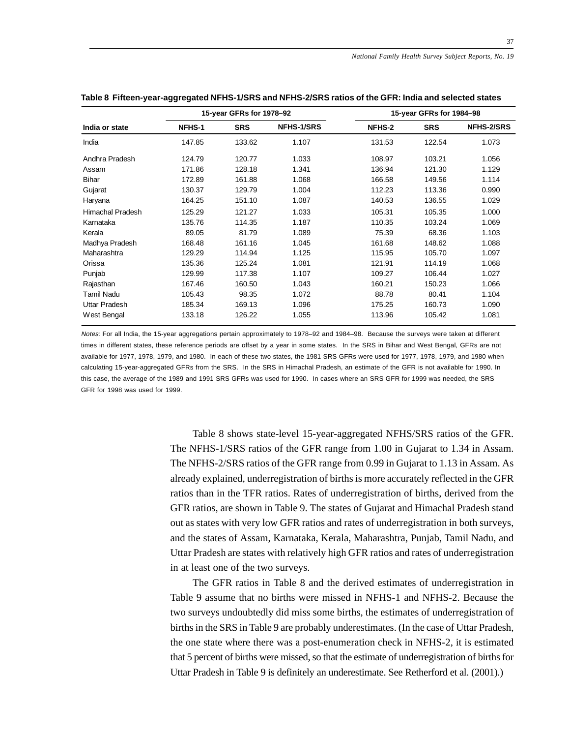|                  |        | 15-year GFRs for 1978-92 |                   |        | 15-year GFRs for 1984-98 |                   |
|------------------|--------|--------------------------|-------------------|--------|--------------------------|-------------------|
| India or state   | NFHS-1 | <b>SRS</b>               | <b>NFHS-1/SRS</b> | NFHS-2 | <b>SRS</b>               | <b>NFHS-2/SRS</b> |
| India            | 147.85 | 133.62                   | 1.107             | 131.53 | 122.54                   | 1.073             |
| Andhra Pradesh   | 124.79 | 120.77                   | 1.033             | 108.97 | 103.21                   | 1.056             |
| Assam            | 171.86 | 128.18                   | 1.341             | 136.94 | 121.30                   | 1.129             |
| <b>Bihar</b>     | 172.89 | 161.88                   | 1.068             | 166.58 | 149.56                   | 1.114             |
| Gujarat          | 130.37 | 129.79                   | 1.004             | 112.23 | 113.36                   | 0.990             |
| Haryana          | 164.25 | 151.10                   | 1.087             | 140.53 | 136.55                   | 1.029             |
| Himachal Pradesh | 125.29 | 121.27                   | 1.033             | 105.31 | 105.35                   | 1.000             |
| Karnataka        | 135.76 | 114.35                   | 1.187             | 110.35 | 103.24                   | 1.069             |
| Kerala           | 89.05  | 81.79                    | 1.089             | 75.39  | 68.36                    | 1.103             |
| Madhya Pradesh   | 168.48 | 161.16                   | 1.045             | 161.68 | 148.62                   | 1.088             |
| Maharashtra      | 129.29 | 114.94                   | 1.125             | 115.95 | 105.70                   | 1.097             |
| Orissa           | 135.36 | 125.24                   | 1.081             | 121.91 | 114.19                   | 1.068             |
| Punjab           | 129.99 | 117.38                   | 1.107             | 109.27 | 106.44                   | 1.027             |
| Rajasthan        | 167.46 | 160.50                   | 1.043             | 160.21 | 150.23                   | 1.066             |
| Tamil Nadu       | 105.43 | 98.35                    | 1.072             | 88.78  | 80.41                    | 1.104             |
| Uttar Pradesh    | 185.34 | 169.13                   | 1.096             | 175.25 | 160.73                   | 1.090             |
| West Bengal      | 133.18 | 126.22                   | 1.055             | 113.96 | 105.42                   | 1.081             |

#### **Table 8 Fifteen-year-aggregated NFHS-1/SRS and NFHS-2/SRS ratios of the GFR: India and selected states**

Notes: For all India, the 15-year aggregations pertain approximately to 1978–92 and 1984–98. Because the surveys were taken at different times in different states, these reference periods are offset by a year in some states. In the SRS in Bihar and West Bengal, GFRs are not available for 1977, 1978, 1979, and 1980. In each of these two states, the 1981 SRS GFRs were used for 1977, 1978, 1979, and 1980 when calculating 15-year-aggregated GFRs from the SRS. In the SRS in Himachal Pradesh, an estimate of the GFR is not available for 1990. In this case, the average of the 1989 and 1991 SRS GFRs was used for 1990. In cases where an SRS GFR for 1999 was needed, the SRS GFR for 1998 was used for 1999.

> Table 8 shows state-level 15-year-aggregated NFHS/SRS ratios of the GFR. The NFHS-1/SRS ratios of the GFR range from 1.00 in Gujarat to 1.34 in Assam. The NFHS-2/SRS ratios of the GFR range from 0.99 in Gujarat to 1.13 in Assam. As already explained, underregistration of births is more accurately reflected in the GFR ratios than in the TFR ratios. Rates of underregistration of births, derived from the GFR ratios, are shown in Table 9. The states of Gujarat and Himachal Pradesh stand out as states with very low GFR ratios and rates of underregistration in both surveys, and the states of Assam, Karnataka, Kerala, Maharashtra, Punjab, Tamil Nadu, and Uttar Pradesh are states with relatively high GFR ratios and rates of underregistration in at least one of the two surveys.

> The GFR ratios in Table 8 and the derived estimates of underregistration in Table 9 assume that no births were missed in NFHS-1 and NFHS-2. Because the two surveys undoubtedly did miss some births, the estimates of underregistration of births in the SRS in Table 9 are probably underestimates. (In the case of Uttar Pradesh, the one state where there was a post-enumeration check in NFHS-2, it is estimated that 5 percent of births were missed, so that the estimate of underregistration of births for Uttar Pradesh in Table 9 is definitely an underestimate. See Retherford et al. (2001).)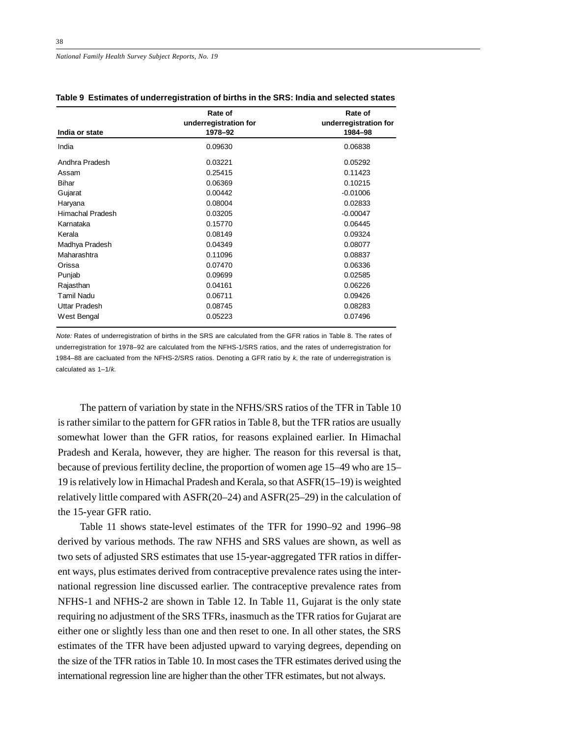*National Family Health Survey Subject Reports, No. 19*

| India or state       | Rate of<br>underregistration for<br>1978-92 | Rate of<br>underregistration for<br>1984-98 |  |  |
|----------------------|---------------------------------------------|---------------------------------------------|--|--|
| India                | 0.09630                                     | 0.06838                                     |  |  |
| Andhra Pradesh       | 0.03221                                     | 0.05292                                     |  |  |
| Assam                | 0.25415                                     | 0.11423                                     |  |  |
| <b>Bihar</b>         | 0.06369                                     | 0.10215                                     |  |  |
| Gujarat              | 0.00442                                     | $-0.01006$                                  |  |  |
| Haryana              | 0.08004                                     | 0.02833                                     |  |  |
| Himachal Pradesh     | 0.03205                                     | $-0.00047$                                  |  |  |
| Karnataka            | 0.15770                                     | 0.06445                                     |  |  |
| Kerala               | 0.08149                                     | 0.09324                                     |  |  |
| Madhya Pradesh       | 0.04349                                     | 0.08077                                     |  |  |
| Maharashtra          | 0.11096                                     | 0.08837                                     |  |  |
| Orissa               | 0.07470                                     | 0.06336                                     |  |  |
| Punjab               | 0.09699                                     | 0.02585                                     |  |  |
| Rajasthan            | 0.04161                                     | 0.06226                                     |  |  |
| Tamil Nadu           | 0.06711                                     | 0.09426                                     |  |  |
| <b>Uttar Pradesh</b> | 0.08745                                     | 0.08283                                     |  |  |
| West Bengal          | 0.05223                                     | 0.07496                                     |  |  |

**Table 9 Estimates of underregistration of births in the SRS: India and selected states**

Note: Rates of underregistration of births in the SRS are calculated from the GFR ratios in Table 8. The rates of underregistration for 1978–92 are calculated from the NFHS-1/SRS ratios, and the rates of underregistration for 1984–88 are cacluated from the NFHS-2/SRS ratios. Denoting a GFR ratio by  $k$ , the rate of underregistration is calculated as 1–1/k.

The pattern of variation by state in the NFHS/SRS ratios of the TFR in Table 10 is rather similar to the pattern for GFR ratios in Table 8, but the TFR ratios are usually somewhat lower than the GFR ratios, for reasons explained earlier. In Himachal Pradesh and Kerala, however, they are higher. The reason for this reversal is that, because of previous fertility decline, the proportion of women age 15–49 who are 15– 19 is relatively low in Himachal Pradesh and Kerala, so that ASFR(15–19) is weighted relatively little compared with ASFR(20–24) and ASFR(25–29) in the calculation of the 15-year GFR ratio.

Table 11 shows state-level estimates of the TFR for 1990–92 and 1996–98 derived by various methods. The raw NFHS and SRS values are shown, as well as two sets of adjusted SRS estimates that use 15-year-aggregated TFR ratios in different ways, plus estimates derived from contraceptive prevalence rates using the international regression line discussed earlier. The contraceptive prevalence rates from NFHS-1 and NFHS-2 are shown in Table 12. In Table 11, Gujarat is the only state requiring no adjustment of the SRS TFRs, inasmuch as the TFR ratios for Gujarat are either one or slightly less than one and then reset to one. In all other states, the SRS estimates of the TFR have been adjusted upward to varying degrees, depending on the size of the TFR ratios in Table 10. In most cases the TFR estimates derived using the international regression line are higher than the other TFR estimates, but not always.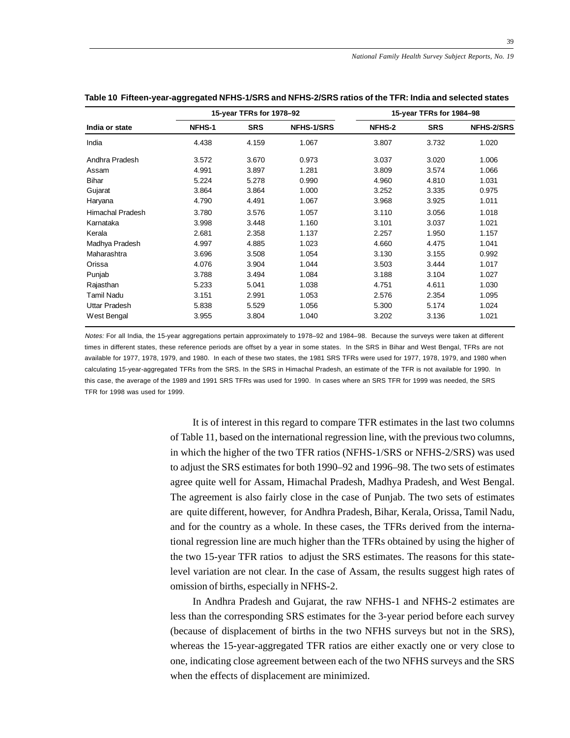|                      |        | 15-year TFRs for 1978-92 |                   |        | 15-year TFRs for 1984-98 |                   |  |  |
|----------------------|--------|--------------------------|-------------------|--------|--------------------------|-------------------|--|--|
| India or state       | NFHS-1 | <b>SRS</b>               | <b>NFHS-1/SRS</b> | NFHS-2 | <b>SRS</b>               | <b>NFHS-2/SRS</b> |  |  |
| India                | 4.438  | 4.159                    | 1.067             | 3.807  | 3.732                    | 1.020             |  |  |
| Andhra Pradesh       | 3.572  | 3.670                    | 0.973             | 3.037  | 3.020                    | 1.006             |  |  |
| Assam                | 4.991  | 3.897                    | 1.281             | 3.809  | 3.574                    | 1.066             |  |  |
| <b>Bihar</b>         | 5.224  | 5.278                    | 0.990             | 4.960  | 4.810                    | 1.031             |  |  |
| Gujarat              | 3.864  | 3.864                    | 1.000             | 3.252  | 3.335                    | 0.975             |  |  |
| Haryana              | 4.790  | 4.491                    | 1.067             | 3.968  | 3.925                    | 1.011             |  |  |
| Himachal Pradesh     | 3.780  | 3.576                    | 1.057             | 3.110  | 3.056                    | 1.018             |  |  |
| Karnataka            | 3.998  | 3.448                    | 1.160             | 3.101  | 3.037                    | 1.021             |  |  |
| Kerala               | 2.681  | 2.358                    | 1.137             | 2.257  | 1.950                    | 1.157             |  |  |
| Madhya Pradesh       | 4.997  | 4.885                    | 1.023             | 4.660  | 4.475                    | 1.041             |  |  |
| Maharashtra          | 3.696  | 3.508                    | 1.054             | 3.130  | 3.155                    | 0.992             |  |  |
| Orissa               | 4.076  | 3.904                    | 1.044             | 3.503  | 3.444                    | 1.017             |  |  |
| Punjab               | 3.788  | 3.494                    | 1.084             | 3.188  | 3.104                    | 1.027             |  |  |
| Rajasthan            | 5.233  | 5.041                    | 1.038             | 4.751  | 4.611                    | 1.030             |  |  |
| Tamil Nadu           | 3.151  | 2.991                    | 1.053             | 2.576  | 2.354                    | 1.095             |  |  |
| <b>Uttar Pradesh</b> | 5.838  | 5.529                    | 1.056             | 5.300  | 5.174                    | 1.024             |  |  |
| West Bengal          | 3.955  | 3.804                    | 1.040             | 3.202  | 3.136                    | 1.021             |  |  |

#### **Table 10 Fifteen-year-aggregated NFHS-1/SRS and NFHS-2/SRS ratios of the TFR: India and selected states**

Notes: For all India, the 15-year aggregations pertain approximately to 1978–92 and 1984–98. Because the surveys were taken at different times in different states, these reference periods are offset by a year in some states. In the SRS in Bihar and West Bengal, TFRs are not available for 1977, 1978, 1979, and 1980. In each of these two states, the 1981 SRS TFRs were used for 1977, 1978, 1979, and 1980 when calculating 15-year-aggregated TFRs from the SRS. In the SRS in Himachal Pradesh, an estimate of the TFR is not available for 1990. In this case, the average of the 1989 and 1991 SRS TFRs was used for 1990. In cases where an SRS TFR for 1999 was needed, the SRS TFR for 1998 was used for 1999.

> It is of interest in this regard to compare TFR estimates in the last two columns of Table 11, based on the international regression line, with the previous two columns, in which the higher of the two TFR ratios (NFHS-1/SRS or NFHS-2/SRS) was used to adjust the SRS estimates for both 1990–92 and 1996–98. The two sets of estimates agree quite well for Assam, Himachal Pradesh, Madhya Pradesh, and West Bengal. The agreement is also fairly close in the case of Punjab. The two sets of estimates are quite different, however, for Andhra Pradesh, Bihar, Kerala, Orissa, Tamil Nadu, and for the country as a whole. In these cases, the TFRs derived from the international regression line are much higher than the TFRs obtained by using the higher of the two 15-year TFR ratios to adjust the SRS estimates. The reasons for this statelevel variation are not clear. In the case of Assam, the results suggest high rates of omission of births, especially in NFHS-2.

> In Andhra Pradesh and Gujarat, the raw NFHS-1 and NFHS-2 estimates are less than the corresponding SRS estimates for the 3-year period before each survey (because of displacement of births in the two NFHS surveys but not in the SRS), whereas the 15-year-aggregated TFR ratios are either exactly one or very close to one, indicating close agreement between each of the two NFHS surveys and the SRS when the effects of displacement are minimized.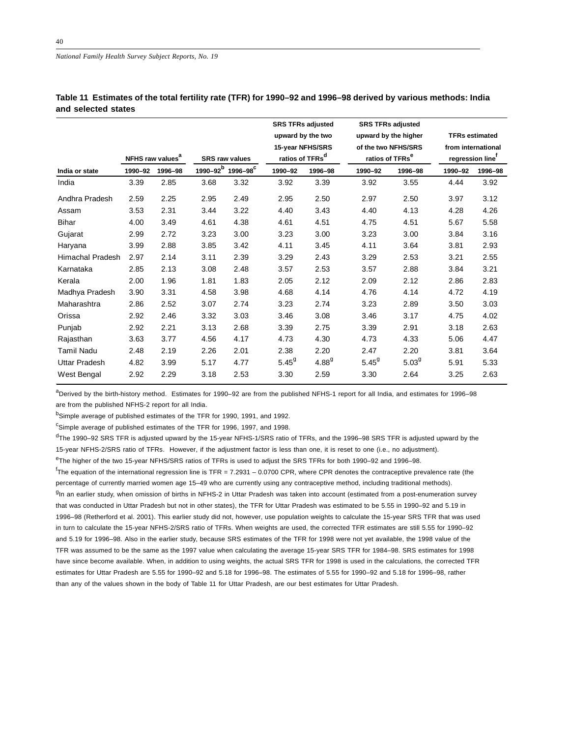| 1990-92 | 1996-98                 |                              | 1996-98 <sup>C</sup> | 1990-92                                | 1996-98    | 1990-92                                                                                          | 1996-98    | 1990-92                                                                                                | 1996-98                                                                     |
|---------|-------------------------|------------------------------|----------------------|----------------------------------------|------------|--------------------------------------------------------------------------------------------------|------------|--------------------------------------------------------------------------------------------------------|-----------------------------------------------------------------------------|
| 3.39    | 2.85                    | 3.68                         | 3.32                 | 3.92                                   | 3.39       | 3.92                                                                                             | 3.55       | 4.44                                                                                                   | 3.92                                                                        |
| 2.59    | 2.25                    | 2.95                         | 2.49                 | 2.95                                   | 2.50       | 2.97                                                                                             | 2.50       | 3.97                                                                                                   | 3.12                                                                        |
| 3.53    | 2.31                    | 3.44                         | 3.22                 | 4.40                                   | 3.43       | 4.40                                                                                             | 4.13       | 4.28                                                                                                   | 4.26                                                                        |
| 4.00    | 3.49                    | 4.61                         | 4.38                 | 4.61                                   | 4.51       | 4.75                                                                                             | 4.51       | 5.67                                                                                                   | 5.58                                                                        |
| 2.99    | 2.72                    | 3.23                         | 3.00                 | 3.23                                   | 3.00       | 3.23                                                                                             | 3.00       | 3.84                                                                                                   | 3.16                                                                        |
| 3.99    | 2.88                    | 3.85                         | 3.42                 | 4.11                                   | 3.45       | 4.11                                                                                             | 3.64       | 3.81                                                                                                   | 2.93                                                                        |
| 2.97    | 2.14                    | 3.11                         | 2.39                 | 3.29                                   | 2.43       | 3.29                                                                                             | 2.53       | 3.21                                                                                                   | 2.55                                                                        |
| 2.85    | 2.13                    | 3.08                         | 2.48                 | 3.57                                   | 2.53       | 3.57                                                                                             | 2.88       | 3.84                                                                                                   | 3.21                                                                        |
| 2.00    | 1.96                    | 1.81                         | 1.83                 | 2.05                                   | 2.12       | 2.09                                                                                             | 2.12       | 2.86                                                                                                   | 2.83                                                                        |
| 3.90    | 3.31                    | 4.58                         | 3.98                 | 4.68                                   | 4.14       | 4.76                                                                                             | 4.14       | 4.72                                                                                                   | 4.19                                                                        |
| 2.86    | 2.52                    | 3.07                         | 2.74                 | 3.23                                   | 2.74       | 3.23                                                                                             | 2.89       | 3.50                                                                                                   | 3.03                                                                        |
| 2.92    | 2.46                    | 3.32                         | 3.03                 | 3.46                                   | 3.08       | 3.46                                                                                             | 3.17       | 4.75                                                                                                   | 4.02                                                                        |
| 2.92    | 2.21                    | 3.13                         | 2.68                 | 3.39                                   | 2.75       | 3.39                                                                                             | 2.91       | 3.18                                                                                                   | 2.63                                                                        |
| 3.63    | 3.77                    | 4.56                         | 4.17                 | 4.73                                   | 4.30       | 4.73                                                                                             | 4.33       | 5.06                                                                                                   | 4.47                                                                        |
| 2.48    | 2.19                    | 2.26                         | 2.01                 | 2.38                                   | 2.20       | 2.47                                                                                             | 2.20       | 3.81                                                                                                   | 3.64                                                                        |
| 4.82    | 3.99                    | 5.17                         | 4.77                 | $5.45^9$                               | $4.88^{9}$ | $5.45^9$                                                                                         | $5.03^{9}$ | 5.91                                                                                                   | 5.33                                                                        |
| 2.92    | 2.29                    | 3.18                         | 2.53                 | 3.30                                   | 2.59       | 3.30                                                                                             | 2.64       | 3.25                                                                                                   | 2.63                                                                        |
|         | <b>Himachal Pradesh</b> | NFHS raw values <sup>a</sup> |                      | <b>SRS raw values</b><br>$1990 - 92^b$ |            | <b>SRS TFRs adjusted</b><br>upward by the two<br>15-year NFHS/SRS<br>ratios of TFRs <sup>d</sup> |            | <b>SRS TFRs adjusted</b><br>upward by the higher<br>of the two NFHS/SRS<br>ratios of TFRs <sup>e</sup> | <b>TFRs estimated</b><br>from international<br>regression line <sup>t</sup> |

**Table 11 Estimates of the total fertility rate (TFR) for 1990–92 and 1996–98 derived by various methods: India and selected states**

a<br>Perived by the birth-history method. Estimates for 1990–92 are from the published NFHS-1 report for all India, and estimates for 1996–98 are from the published NFHS-2 report for all India.

<sup>b</sup>Simple average of published estimates of the TFR for 1990, 1991, and 1992.

<sup>c</sup>Simple average of published estimates of the TFR for 1996, 1997, and 1998.

<sup>d</sup>The 1990–92 SRS TFR is adjusted upward by the 15-year NFHS-1/SRS ratio of TFRs, and the 1996–98 SRS TFR is adjusted upward by the 15-year NFHS-2/SRS ratio of TFRs. However, if the adjustment factor is less than one, it is reset to one (i.e., no adjustment).

<sup>e</sup>The higher of the two 15-year NFHS/SRS ratios of TFRs is used to adjust the SRS TFRs for both 1990–92 and 1996–98.

f The equation of the international regression line is TFR = 7.2931 – 0.0700 CPR, where CPR denotes the contraceptive prevalence rate (the percentage of currently married women age 15–49 who are currently using any contraceptive method, including traditional methods). <sup>g</sup>In an earlier study, when omission of births in NFHS-2 in Uttar Pradesh was taken into account (estimated from a post-enumeration survey that was conducted in Uttar Pradesh but not in other states), the TFR for Uttar Pradesh was estimated to be 5.55 in 1990–92 and 5.19 in 1996–98 (Retherford et al. 2001). This earlier study did not, however, use population weights to calculate the 15-year SRS TFR that was used in turn to calculate the 15-year NFHS-2/SRS ratio of TFRs. When weights are used, the corrected TFR estimates are still 5.55 for 1990–92 and 5.19 for 1996–98. Also in the earlier study, because SRS estimates of the TFR for 1998 were not yet available, the 1998 value of the TFR was assumed to be the same as the 1997 value when calculating the average 15-year SRS TFR for 1984–98. SRS estimates for 1998 have since become available. When, in addition to using weights, the actual SRS TFR for 1998 is used in the calculations, the corrected TFR estimates for Uttar Pradesh are 5.55 for 1990–92 and 5.18 for 1996–98. The estimates of 5.55 for 1990–92 and 5.18 for 1996–98, rather than any of the values shown in the body of Table 11 for Uttar Pradesh, are our best estimates for Uttar Pradesh.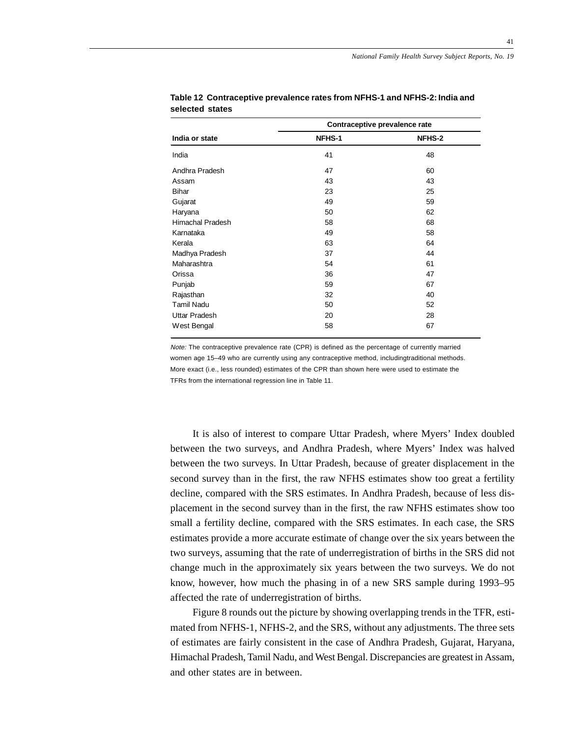|                  | Contraceptive prevalence rate |               |  |  |  |
|------------------|-------------------------------|---------------|--|--|--|
| India or state   | NFHS-1                        | <b>NFHS-2</b> |  |  |  |
| India            | 41                            | 48            |  |  |  |
| Andhra Pradesh   | 47                            | 60            |  |  |  |
| Assam            | 43                            | 43            |  |  |  |
| Bihar            | 23                            | 25            |  |  |  |
| Gujarat          | 49                            | 59            |  |  |  |
| Haryana          | 50                            | 62            |  |  |  |
| Himachal Pradesh | 58                            | 68            |  |  |  |
| Karnataka        | 49                            | 58            |  |  |  |
| Kerala           | 63                            | 64            |  |  |  |
| Madhya Pradesh   | 37                            | 44            |  |  |  |
| Maharashtra      | 54                            | 61            |  |  |  |
| Orissa           | 36                            | 47            |  |  |  |
| Punjab           | 59                            | 67            |  |  |  |
| Rajasthan        | 32                            | 40            |  |  |  |
| Tamil Nadu       | 50                            | 52            |  |  |  |
| Uttar Pradesh    | 20                            | 28            |  |  |  |
| West Bengal      | 58                            | 67            |  |  |  |
|                  |                               |               |  |  |  |

**Table 12 Contraceptive prevalence rates from NFHS-1 and NFHS-2: India and selected states**

Note: The contraceptive prevalence rate (CPR) is defined as the percentage of currently married women age 15–49 who are currently using any contraceptive method, includingtraditional methods. More exact (i.e., less rounded) estimates of the CPR than shown here were used to estimate the TFRs from the international regression line in Table 11.

It is also of interest to compare Uttar Pradesh, where Myers' Index doubled between the two surveys, and Andhra Pradesh, where Myers' Index was halved between the two surveys. In Uttar Pradesh, because of greater displacement in the second survey than in the first, the raw NFHS estimates show too great a fertility decline, compared with the SRS estimates. In Andhra Pradesh, because of less displacement in the second survey than in the first, the raw NFHS estimates show too small a fertility decline, compared with the SRS estimates. In each case, the SRS estimates provide a more accurate estimate of change over the six years between the two surveys, assuming that the rate of underregistration of births in the SRS did not change much in the approximately six years between the two surveys. We do not know, however, how much the phasing in of a new SRS sample during 1993–95 affected the rate of underregistration of births.

Figure 8 rounds out the picture by showing overlapping trends in the TFR, estimated from NFHS-1, NFHS-2, and the SRS, without any adjustments. The three sets of estimates are fairly consistent in the case of Andhra Pradesh, Gujarat, Haryana, Himachal Pradesh, Tamil Nadu, and West Bengal. Discrepancies are greatest in Assam, and other states are in between.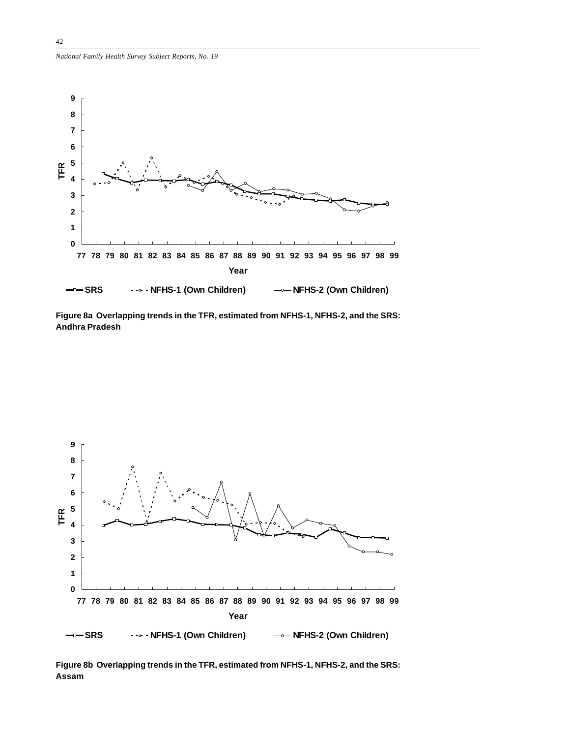![](_page_41_Figure_1.jpeg)

**Figure 8a Overlapping trends in the TFR, estimated from NFHS-1, NFHS-2, and the SRS: Andhra Pradesh**

![](_page_41_Figure_3.jpeg)

**Figure 8b Overlapping trends in the TFR, estimated from NFHS-1, NFHS-2, and the SRS: Assam**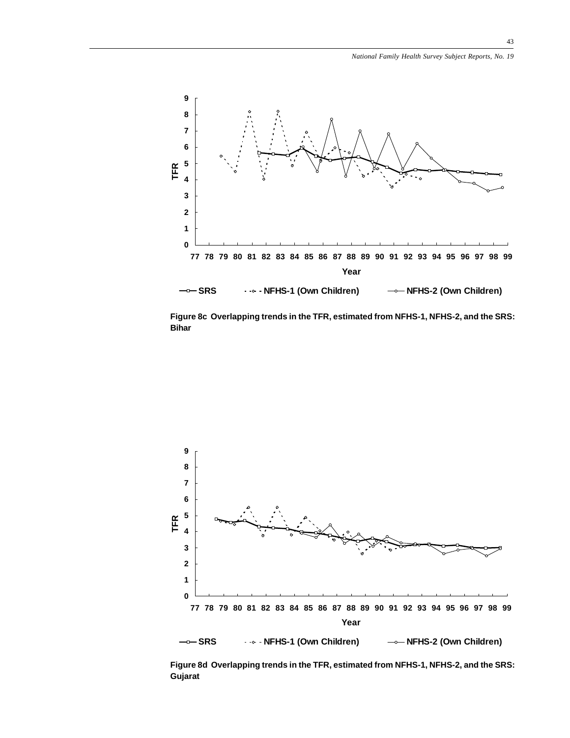![](_page_42_Figure_1.jpeg)

**Figure 8c Overlapping trends in the TFR, estimated from NFHS-1, NFHS-2, and the SRS: Bihar**

![](_page_42_Figure_3.jpeg)

**Figure 8d Overlapping trends in the TFR, estimated from NFHS-1, NFHS-2, and the SRS: Gujarat**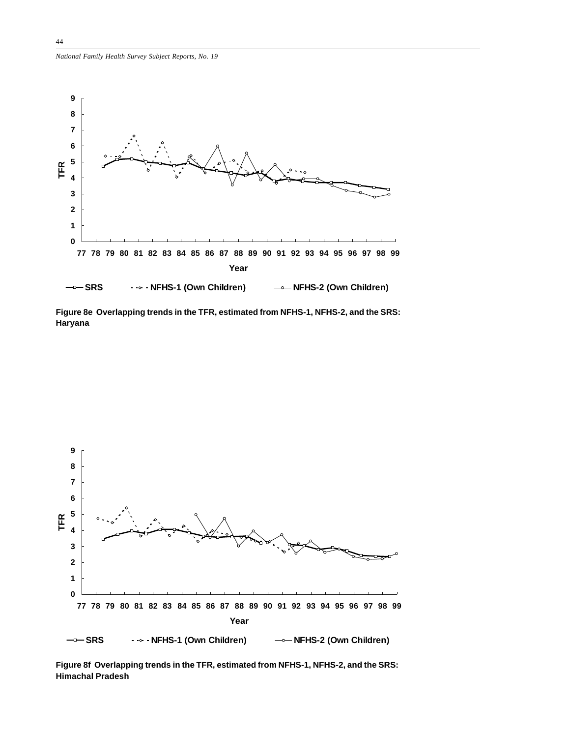![](_page_43_Figure_1.jpeg)

**Figure 8e Overlapping trends in the TFR, estimated from NFHS-1, NFHS-2, and the SRS: Haryana**

![](_page_43_Figure_3.jpeg)

**Figure 8f Overlapping trends in the TFR, estimated from NFHS-1, NFHS-2, and the SRS: Himachal Pradesh**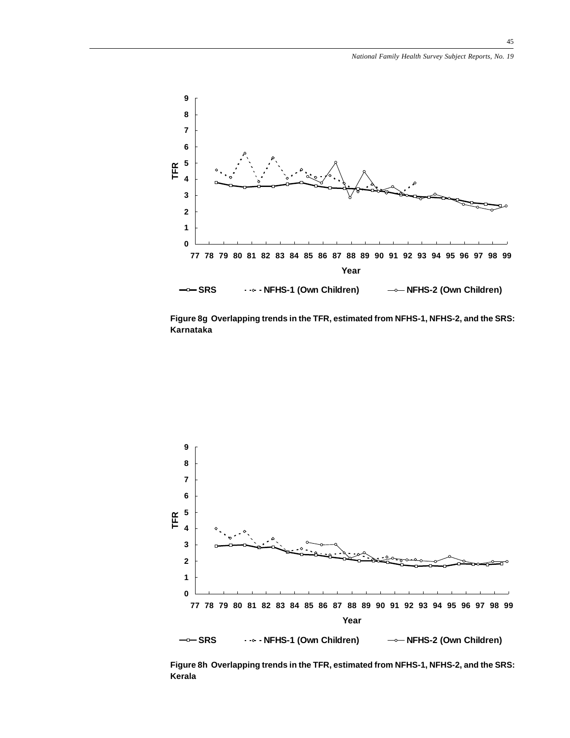![](_page_44_Figure_1.jpeg)

**Figure 8g Overlapping trends in the TFR, estimated from NFHS-1, NFHS-2, and the SRS: Karnataka**

![](_page_44_Figure_3.jpeg)

**Figure 8h Overlapping trends in the TFR, estimated from NFHS-1, NFHS-2, and the SRS: Kerala**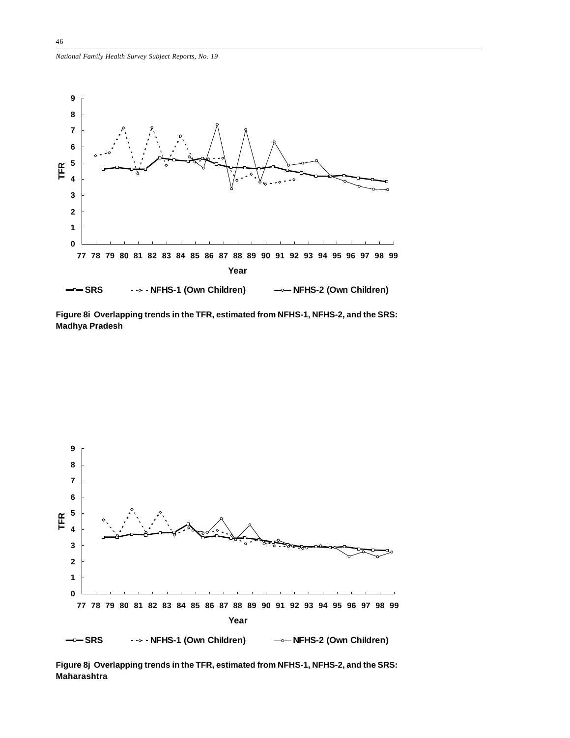*National Family Health Survey Subject Reports, No. 19*

![](_page_45_Figure_1.jpeg)

**Figure 8i Overlapping trends in the TFR, estimated from NFHS-1, NFHS-2, and the SRS: Madhya Pradesh**

![](_page_45_Figure_3.jpeg)

**Figure 8j Overlapping trends in the TFR, estimated from NFHS-1, NFHS-2, and the SRS: Maharashtra**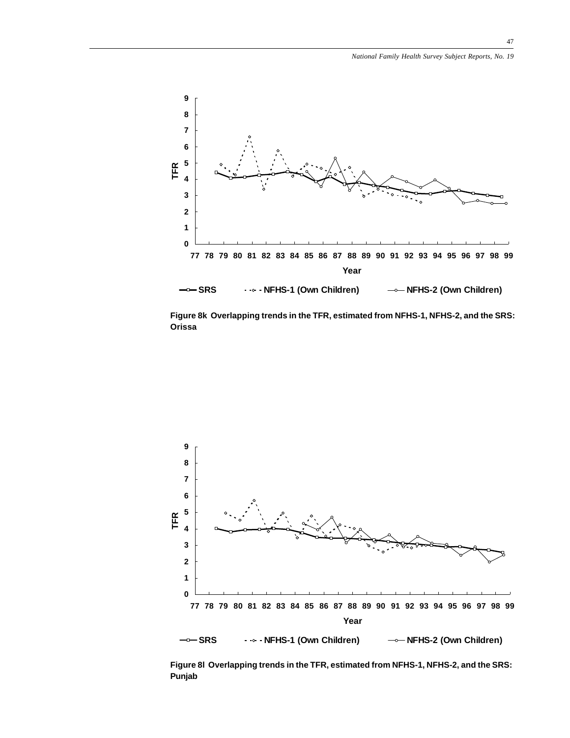![](_page_46_Figure_1.jpeg)

**Figure 8k Overlapping trends in the TFR, estimated from NFHS-1, NFHS-2, and the SRS: Orissa**

![](_page_46_Figure_3.jpeg)

**Figure 8l Overlapping trends in the TFR, estimated from NFHS-1, NFHS-2, and the SRS: Punjab**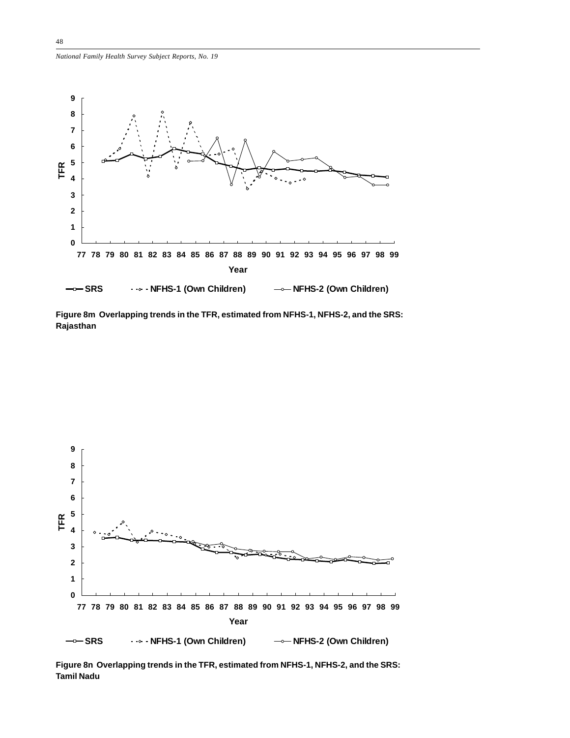*National Family Health Survey Subject Reports, No. 19*

![](_page_47_Figure_1.jpeg)

**Figure 8m Overlapping trends in the TFR, estimated from NFHS-1, NFHS-2, and the SRS: Rajasthan**

![](_page_47_Figure_3.jpeg)

**Figure 8n Overlapping trends in the TFR, estimated from NFHS-1, NFHS-2, and the SRS: Tamil Nadu**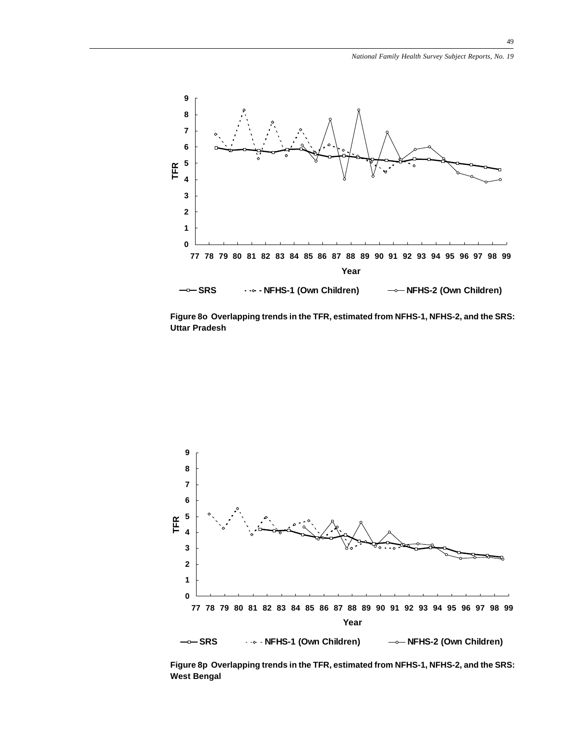![](_page_48_Figure_1.jpeg)

**Figure 8o Overlapping trends in the TFR, estimated from NFHS-1, NFHS-2, and the SRS: Uttar Pradesh**

![](_page_48_Figure_3.jpeg)

**Figure 8p Overlapping trends in the TFR, estimated from NFHS-1, NFHS-2, and the SRS: West Bengal**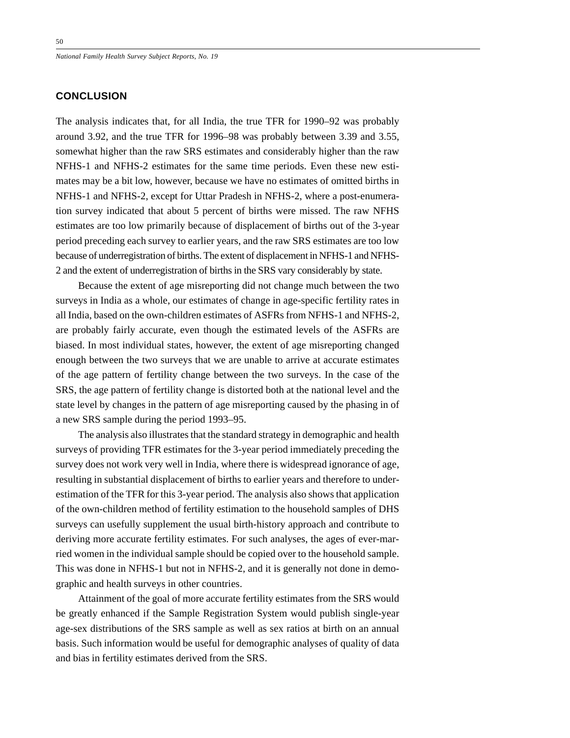*National Family Health Survey Subject Reports, No. 19*

## **CONCLUSION**

The analysis indicates that, for all India, the true TFR for 1990–92 was probably around 3.92, and the true TFR for 1996–98 was probably between 3.39 and 3.55, somewhat higher than the raw SRS estimates and considerably higher than the raw NFHS-1 and NFHS-2 estimates for the same time periods. Even these new estimates may be a bit low, however, because we have no estimates of omitted births in NFHS-1 and NFHS-2, except for Uttar Pradesh in NFHS-2, where a post-enumeration survey indicated that about 5 percent of births were missed. The raw NFHS estimates are too low primarily because of displacement of births out of the 3-year period preceding each survey to earlier years, and the raw SRS estimates are too low because of underregistration of births. The extent of displacement in NFHS-1 and NFHS-2 and the extent of underregistration of births in the SRS vary considerably by state.

Because the extent of age misreporting did not change much between the two surveys in India as a whole, our estimates of change in age-specific fertility rates in all India, based on the own-children estimates of ASFRs from NFHS-1 and NFHS-2, are probably fairly accurate, even though the estimated levels of the ASFRs are biased. In most individual states, however, the extent of age misreporting changed enough between the two surveys that we are unable to arrive at accurate estimates of the age pattern of fertility change between the two surveys. In the case of the SRS, the age pattern of fertility change is distorted both at the national level and the state level by changes in the pattern of age misreporting caused by the phasing in of a new SRS sample during the period 1993–95.

The analysis also illustrates that the standard strategy in demographic and health surveys of providing TFR estimates for the 3-year period immediately preceding the survey does not work very well in India, where there is widespread ignorance of age, resulting in substantial displacement of births to earlier years and therefore to underestimation of the TFR for this 3-year period. The analysis also shows that application of the own-children method of fertility estimation to the household samples of DHS surveys can usefully supplement the usual birth-history approach and contribute to deriving more accurate fertility estimates. For such analyses, the ages of ever-married women in the individual sample should be copied over to the household sample. This was done in NFHS-1 but not in NFHS-2, and it is generally not done in demographic and health surveys in other countries.

Attainment of the goal of more accurate fertility estimates from the SRS would be greatly enhanced if the Sample Registration System would publish single-year age-sex distributions of the SRS sample as well as sex ratios at birth on an annual basis. Such information would be useful for demographic analyses of quality of data and bias in fertility estimates derived from the SRS.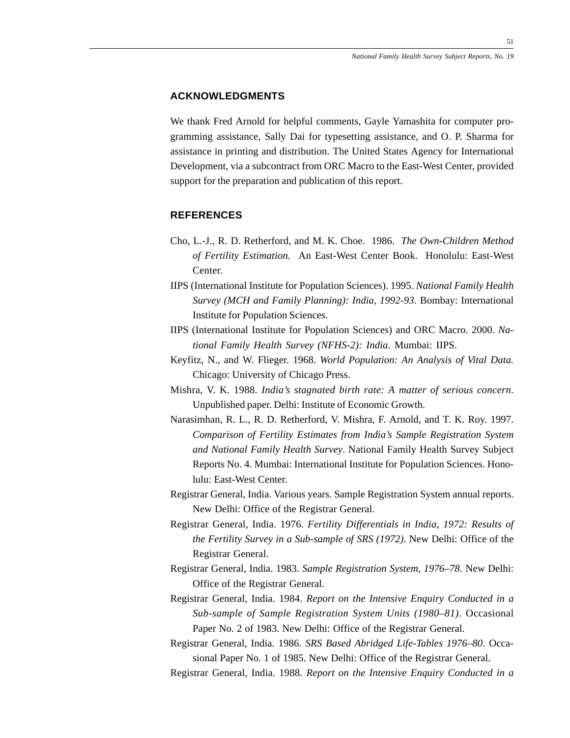## **ACKNOWLEDGMENTS**

We thank Fred Arnold for helpful comments, Gayle Yamashita for computer programming assistance, Sally Dai for typesetting assistance, and O. P. Sharma for assistance in printing and distribution. The United States Agency for International Development, via a subcontract from ORC Macro to the East-West Center, provided support for the preparation and publication of this report.

# **REFERENCES**

- Cho, L.-J., R. D. Retherford, and M. K. Choe. 1986. *The Own-Children Method of Fertility Estimation.* An East-West Center Book. Honolulu: East-West Center.
- IIPS (International Institute for Population Sciences). 1995. *National Family Health Survey (MCH and Family Planning): India, 1992-93*. Bombay: International Institute for Population Sciences.
- IIPS (International Institute for Population Sciences) and ORC Macro. 2000. *National Family Health Survey (NFHS-2): India*. Mumbai: IIPS.
- Keyfitz, N., and W. Flieger. 1968. *World Population: An Analysis of Vital Data.* Chicago: University of Chicago Press.
- Mishra, V. K. 1988. *India's stagnated birth rate: A matter of serious concern*. Unpublished paper. Delhi: Institute of Economic Growth.
- Narasimhan, R. L., R. D. Retherford, V. Mishra, F. Arnold, and T. K. Roy. 1997. *Comparison of Fertility Estimates from India's Sample Registration System and National Family Health Survey*. National Family Health Survey Subject Reports No. 4. Mumbai: International Institute for Population Sciences. Honolulu: East-West Center.
- Registrar General, India. Various years. Sample Registration System annual reports. New Delhi: Office of the Registrar General.
- Registrar General, India. 1976. *Fertility Differentials in India, 1972: Results of the Fertility Survey in a Sub-sample of SRS (1972)*. New Delhi: Office of the Registrar General.
- Registrar General, India. 1983. *Sample Registration System, 1976–78*. New Delhi: Office of the Registrar General.
- Registrar General, India. 1984. *Report on the Intensive Enquiry Conducted in a Sub-sample of Sample Registration System Units (1980–81)*. Occasional Paper No. 2 of 1983. New Delhi: Office of the Registrar General.
- Registrar General, India. 1986. *SRS Based Abridged Life-Tables 1976–80*. Occasional Paper No. 1 of 1985. New Delhi: Office of the Registrar General.

Registrar General, India. 1988. *Report on the Intensive Enquiry Conducted in a*